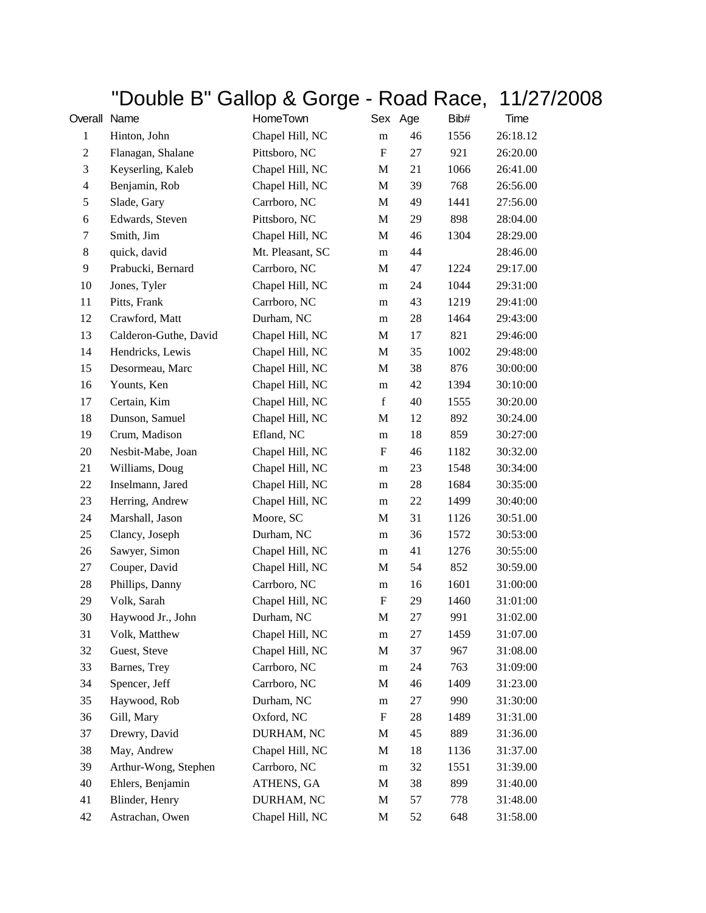## "Double B" Gallop & Gorge - Road Race, 11/27/2008

| Overall Name   |                       | HomeTown         |                           | Sex Age | Bib# | Time     |
|----------------|-----------------------|------------------|---------------------------|---------|------|----------|
| $\mathbf{1}$   | Hinton, John          | Chapel Hill, NC  | ${\bf m}$                 | 46      | 1556 | 26:18.12 |
| $\mathbf{2}$   | Flanagan, Shalane     | Pittsboro, NC    | $\boldsymbol{\mathrm{F}}$ | 27      | 921  | 26:20.00 |
| $\mathfrak{Z}$ | Keyserling, Kaleb     | Chapel Hill, NC  | M                         | 21      | 1066 | 26:41.00 |
| $\overline{4}$ | Benjamin, Rob         | Chapel Hill, NC  | $\mathbf M$               | 39      | 768  | 26:56.00 |
| 5              | Slade, Gary           | Carrboro, NC     | M                         | 49      | 1441 | 27:56.00 |
| 6              | Edwards, Steven       | Pittsboro, NC    | M                         | 29      | 898  | 28:04.00 |
| $\tau$         | Smith, Jim            | Chapel Hill, NC  | M                         | 46      | 1304 | 28:29.00 |
| $\,8\,$        | quick, david          | Mt. Pleasant, SC | m                         | 44      |      | 28:46.00 |
| $\overline{9}$ | Prabucki, Bernard     | Carrboro, NC     | $\mathbf M$               | 47      | 1224 | 29:17.00 |
| 10             | Jones, Tyler          | Chapel Hill, NC  | m                         | 24      | 1044 | 29:31:00 |
| 11             | Pitts, Frank          | Carrboro, NC     | m                         | 43      | 1219 | 29:41:00 |
| 12             | Crawford, Matt        | Durham, NC       | m                         | 28      | 1464 | 29:43:00 |
| 13             | Calderon-Guthe, David | Chapel Hill, NC  | M                         | 17      | 821  | 29:46:00 |
| 14             | Hendricks, Lewis      | Chapel Hill, NC  | M                         | 35      | 1002 | 29:48:00 |
| 15             | Desormeau, Marc       | Chapel Hill, NC  | M                         | 38      | 876  | 30:00:00 |
| 16             | Younts, Ken           | Chapel Hill, NC  | m                         | 42      | 1394 | 30:10:00 |
| 17             | Certain, Kim          | Chapel Hill, NC  | $\mathbf f$               | 40      | 1555 | 30:20.00 |
| 18             | Dunson, Samuel        | Chapel Hill, NC  | M                         | 12      | 892  | 30:24.00 |
| 19             | Crum, Madison         | Efland, NC       | ${\bf m}$                 | 18      | 859  | 30:27:00 |
| 20             | Nesbit-Mabe, Joan     | Chapel Hill, NC  | F                         | 46      | 1182 | 30:32.00 |
| 21             | Williams, Doug        | Chapel Hill, NC  | m                         | 23      | 1548 | 30:34:00 |
| 22             | Inselmann, Jared      | Chapel Hill, NC  | m                         | 28      | 1684 | 30:35:00 |
| 23             | Herring, Andrew       | Chapel Hill, NC  | m                         | 22      | 1499 | 30:40:00 |
| 24             | Marshall, Jason       | Moore, SC        | M                         | 31      | 1126 | 30:51.00 |
| 25             | Clancy, Joseph        | Durham, NC       | m                         | 36      | 1572 | 30:53:00 |
| 26             | Sawyer, Simon         | Chapel Hill, NC  | m                         | 41      | 1276 | 30:55:00 |
| 27             | Couper, David         | Chapel Hill, NC  | M                         | 54      | 852  | 30:59.00 |
| 28             | Phillips, Danny       | Carrboro, NC     | m                         | 16      | 1601 | 31:00:00 |
| 29             | Volk, Sarah           | Chapel Hill, NC  | $\boldsymbol{\mathrm{F}}$ | 29      | 1460 | 31:01:00 |
| 30             | Haywood Jr., John     | Durham, NC       | M                         | 27      | 991  | 31:02.00 |
| 31             | Volk, Matthew         | Chapel Hill, NC  | m                         | $27\,$  | 1459 | 31:07.00 |
| 32             | Guest, Steve          | Chapel Hill, NC  | M                         | 37      | 967  | 31:08.00 |
| 33             | Barnes, Trey          | Carrboro, NC     | ${\bf m}$                 | 24      | 763  | 31:09:00 |
| 34             | Spencer, Jeff         | Carrboro, NC     | M                         | 46      | 1409 | 31:23.00 |
| 35             | Haywood, Rob          | Durham, NC       | m                         | 27      | 990  | 31:30:00 |
| 36             | Gill, Mary            | Oxford, NC       | F                         | 28      | 1489 | 31:31.00 |
| 37             | Drewry, David         | DURHAM, NC       | M                         | 45      | 889  | 31:36.00 |
| 38             | May, Andrew           | Chapel Hill, NC  | M                         | 18      | 1136 | 31:37.00 |
| 39             | Arthur-Wong, Stephen  | Carrboro, NC     | ${\bf m}$                 | 32      | 1551 | 31:39.00 |
| 40             | Ehlers, Benjamin      | ATHENS, GA       | M                         | 38      | 899  | 31:40.00 |
| 41             | Blinder, Henry        | DURHAM, NC       | M                         | 57      | 778  | 31:48.00 |
| 42             | Astrachan, Owen       | Chapel Hill, NC  | M                         | 52      | 648  | 31:58.00 |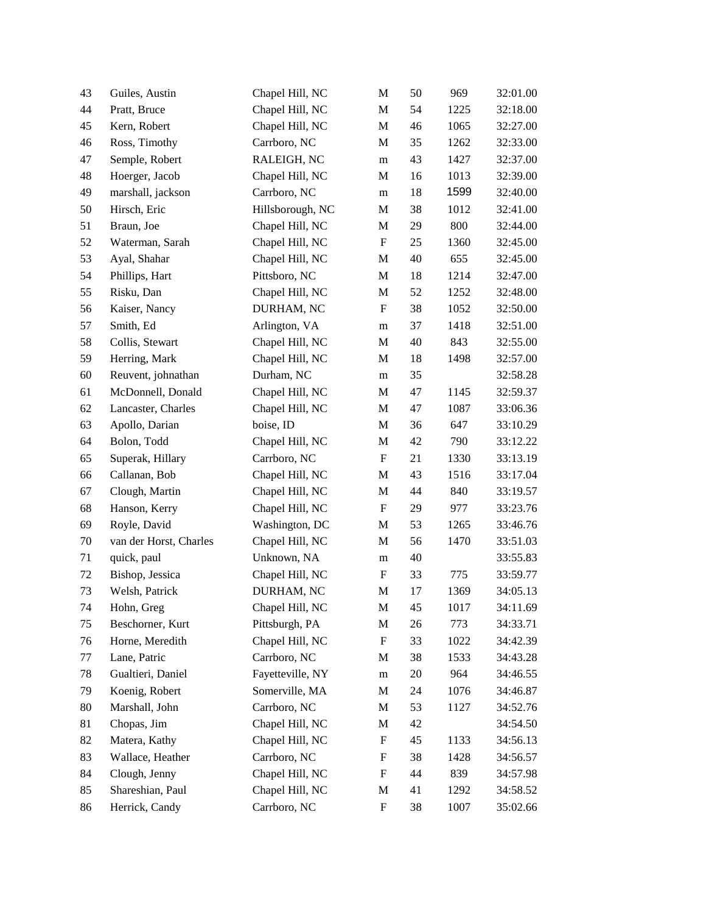|    | Guiles, Austin         | Chapel Hill, NC  | $\mathbf M$               | 50     | 969  | 32:01.00 |
|----|------------------------|------------------|---------------------------|--------|------|----------|
| 44 | Pratt, Bruce           | Chapel Hill, NC  | M                         | 54     | 1225 | 32:18.00 |
| 45 | Kern, Robert           | Chapel Hill, NC  | M                         | 46     | 1065 | 32:27.00 |
| 46 | Ross, Timothy          | Carrboro, NC     | M                         | 35     | 1262 | 32:33.00 |
| 47 | Semple, Robert         | RALEIGH, NC      | m                         | 43     | 1427 | 32:37.00 |
| 48 | Hoerger, Jacob         | Chapel Hill, NC  | M                         | 16     | 1013 | 32:39.00 |
| 49 | marshall, jackson      | Carrboro, NC     | m                         | 18     | 1599 | 32:40.00 |
| 50 | Hirsch, Eric           | Hillsborough, NC | M                         | 38     | 1012 | 32:41.00 |
| 51 | Braun, Joe             | Chapel Hill, NC  | M                         | 29     | 800  | 32:44.00 |
| 52 | Waterman, Sarah        | Chapel Hill, NC  | F                         | 25     | 1360 | 32:45.00 |
| 53 | Ayal, Shahar           | Chapel Hill, NC  | $\mathbf{M}$              | 40     | 655  | 32:45.00 |
| 54 | Phillips, Hart         | Pittsboro, NC    | M                         | 18     | 1214 | 32:47.00 |
| 55 | Risku, Dan             | Chapel Hill, NC  | M                         | 52     | 1252 | 32:48.00 |
| 56 | Kaiser, Nancy          | DURHAM, NC       | $\boldsymbol{\mathrm{F}}$ | 38     | 1052 | 32:50.00 |
| 57 | Smith, Ed              | Arlington, VA    | ${\rm m}$                 | 37     | 1418 | 32:51.00 |
| 58 | Collis, Stewart        | Chapel Hill, NC  | M                         | 40     | 843  | 32:55.00 |
| 59 | Herring, Mark          | Chapel Hill, NC  | M                         | 18     | 1498 | 32:57.00 |
| 60 | Reuvent, johnathan     | Durham, NC       | m                         | 35     |      | 32:58.28 |
| 61 | McDonnell, Donald      | Chapel Hill, NC  | M                         | 47     | 1145 | 32:59.37 |
| 62 | Lancaster, Charles     | Chapel Hill, NC  | M                         | 47     | 1087 | 33:06.36 |
| 63 | Apollo, Darian         | boise, ID        | M                         | 36     | 647  | 33:10.29 |
| 64 | Bolon, Todd            | Chapel Hill, NC  | M                         | 42     | 790  | 33:12.22 |
| 65 | Superak, Hillary       | Carrboro, NC     | $\boldsymbol{\mathrm{F}}$ | 21     | 1330 | 33:13.19 |
| 66 | Callanan, Bob          | Chapel Hill, NC  | M                         | 43     | 1516 | 33:17.04 |
| 67 | Clough, Martin         | Chapel Hill, NC  | M                         | 44     | 840  | 33:19.57 |
| 68 | Hanson, Kerry          | Chapel Hill, NC  | $\boldsymbol{\mathrm{F}}$ | 29     | 977  | 33:23.76 |
| 69 | Royle, David           | Washington, DC   | M                         | 53     | 1265 | 33:46.76 |
| 70 | van der Horst, Charles | Chapel Hill, NC  | M                         | 56     | 1470 | 33:51.03 |
| 71 | quick, paul            | Unknown, NA      | m                         | 40     |      | 33:55.83 |
| 72 | Bishop, Jessica        | Chapel Hill, NC  | F                         | 33     | 775  | 33:59.77 |
| 73 | Welsh, Patrick         | DURHAM, NC       | M                         | 17     | 1369 | 34:05.13 |
| 74 | Hohn, Greg             | Chapel Hill, NC  | M                         | 45     | 1017 | 34:11.69 |
| 75 | Beschorner, Kurt       | Pittsburgh, PA   | M                         | 26     | 773  | 34:33.71 |
| 76 | Horne, Meredith        | Chapel Hill, NC  | ${\bf F}$                 | 33     | 1022 | 34:42.39 |
| 77 | Lane, Patric           | Carrboro, NC     | M                         | 38     | 1533 | 34:43.28 |
| 78 | Gualtieri, Daniel      | Fayetteville, NY | ${\rm m}$                 | $20\,$ | 964  | 34:46.55 |
| 79 | Koenig, Robert         | Somerville, MA   | M                         | 24     | 1076 | 34:46.87 |
| 80 | Marshall, John         | Carrboro, NC     | M                         | 53     | 1127 | 34:52.76 |
| 81 | Chopas, Jim            | Chapel Hill, NC  | М                         | 42     |      | 34:54.50 |
| 82 | Matera, Kathy          | Chapel Hill, NC  | ${\bf F}$                 | 45     | 1133 | 34:56.13 |
| 83 | Wallace, Heather       | Carrboro, NC     | ${\rm F}$                 | 38     | 1428 | 34:56.57 |
| 84 | Clough, Jenny          | Chapel Hill, NC  | F                         | 44     | 839  | 34:57.98 |
| 85 | Shareshian, Paul       | Chapel Hill, NC  | M                         | 41     | 1292 | 34:58.52 |
| 86 | Herrick, Candy         | Carrboro, NC     | F                         | 38     | 1007 | 35:02.66 |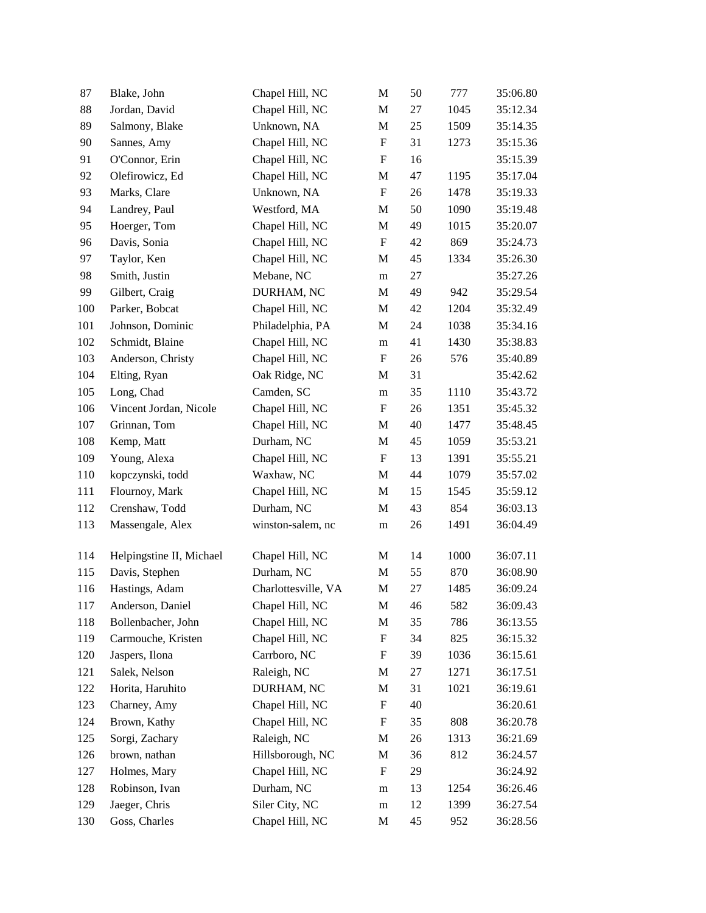| 87  | Blake, John              | Chapel Hill, NC     | M                         | 50 | 777  | 35:06.80 |
|-----|--------------------------|---------------------|---------------------------|----|------|----------|
| 88  | Jordan, David            | Chapel Hill, NC     | М                         | 27 | 1045 | 35:12.34 |
| 89  | Salmony, Blake           | Unknown, NA         | M                         | 25 | 1509 | 35:14.35 |
| 90  | Sannes, Amy              | Chapel Hill, NC     | $\boldsymbol{\mathrm{F}}$ | 31 | 1273 | 35:15.36 |
| 91  | O'Connor, Erin           | Chapel Hill, NC     | $\boldsymbol{\mathrm{F}}$ | 16 |      | 35:15.39 |
| 92  | Olefirowicz, Ed          | Chapel Hill, NC     | $\mathbf M$               | 47 | 1195 | 35:17.04 |
| 93  | Marks, Clare             | Unknown, NA         | $\boldsymbol{\mathrm{F}}$ | 26 | 1478 | 35:19.33 |
| 94  | Landrey, Paul            | Westford, MA        | M                         | 50 | 1090 | 35:19.48 |
| 95  | Hoerger, Tom             | Chapel Hill, NC     | M                         | 49 | 1015 | 35:20.07 |
| 96  | Davis, Sonia             | Chapel Hill, NC     | $\mathbf F$               | 42 | 869  | 35:24.73 |
| 97  | Taylor, Ken              | Chapel Hill, NC     | M                         | 45 | 1334 | 35:26.30 |
| 98  | Smith, Justin            | Mebane, NC          | m                         | 27 |      | 35:27.26 |
| 99  | Gilbert, Craig           | DURHAM, NC          | M                         | 49 | 942  | 35:29.54 |
| 100 | Parker, Bobcat           | Chapel Hill, NC     | M                         | 42 | 1204 | 35:32.49 |
| 101 | Johnson, Dominic         | Philadelphia, PA    | M                         | 24 | 1038 | 35:34.16 |
| 102 | Schmidt, Blaine          | Chapel Hill, NC     | m                         | 41 | 1430 | 35:38.83 |
| 103 | Anderson, Christy        | Chapel Hill, NC     | F                         | 26 | 576  | 35:40.89 |
| 104 | Elting, Ryan             | Oak Ridge, NC       | M                         | 31 |      | 35:42.62 |
| 105 | Long, Chad               | Camden, SC          | m                         | 35 | 1110 | 35:43.72 |
| 106 | Vincent Jordan, Nicole   | Chapel Hill, NC     | F                         | 26 | 1351 | 35:45.32 |
| 107 | Grinnan, Tom             | Chapel Hill, NC     | M                         | 40 | 1477 | 35:48.45 |
| 108 | Kemp, Matt               | Durham, NC          | М                         | 45 | 1059 | 35:53.21 |
| 109 | Young, Alexa             | Chapel Hill, NC     | $\boldsymbol{\mathrm{F}}$ | 13 | 1391 | 35:55.21 |
| 110 | kopczynski, todd         | Waxhaw, NC          | M                         | 44 | 1079 | 35:57.02 |
| 111 | Flournoy, Mark           | Chapel Hill, NC     | M                         | 15 | 1545 | 35:59.12 |
| 112 | Crenshaw, Todd           | Durham, NC          | M                         | 43 | 854  | 36:03.13 |
| 113 | Massengale, Alex         | winston-salem, nc   | m                         | 26 | 1491 | 36:04.49 |
| 114 | Helpingstine II, Michael | Chapel Hill, NC     | M                         | 14 | 1000 | 36:07.11 |
| 115 | Davis, Stephen           | Durham, NC          | M                         | 55 | 870  | 36:08.90 |
| 116 | Hastings, Adam           | Charlottesville, VA | M                         | 27 | 1485 | 36:09.24 |
| 117 | Anderson, Daniel         | Chapel Hill, NC     | M                         | 46 | 582  | 36:09.43 |
| 118 | Bollenbacher, John       | Chapel Hill, NC     | M                         | 35 | 786  | 36:13.55 |
| 119 | Carmouche, Kristen       | Chapel Hill, NC     | $\boldsymbol{\mathrm{F}}$ | 34 | 825  | 36:15.32 |
| 120 | Jaspers, Ilona           | Carrboro, NC        | F                         | 39 | 1036 | 36:15.61 |
| 121 | Salek, Nelson            | Raleigh, NC         | $\mathbf M$               | 27 | 1271 | 36:17.51 |
| 122 | Horita, Haruhito         | DURHAM, NC          | M                         | 31 | 1021 | 36:19.61 |
| 123 | Charney, Amy             | Chapel Hill, NC     | F                         | 40 |      | 36:20.61 |
| 124 | Brown, Kathy             | Chapel Hill, NC     | F                         | 35 | 808  | 36:20.78 |
| 125 | Sorgi, Zachary           | Raleigh, NC         | M                         | 26 | 1313 | 36:21.69 |
| 126 | brown, nathan            | Hillsborough, NC    | M                         | 36 | 812  | 36:24.57 |
| 127 | Holmes, Mary             | Chapel Hill, NC     | $\boldsymbol{\mathrm{F}}$ | 29 |      | 36:24.92 |
| 128 | Robinson, Ivan           | Durham, NC          | m                         | 13 | 1254 | 36:26.46 |
| 129 | Jaeger, Chris            | Siler City, NC      | m                         | 12 | 1399 | 36:27.54 |
| 130 | Goss, Charles            | Chapel Hill, NC     | M                         | 45 | 952  | 36:28.56 |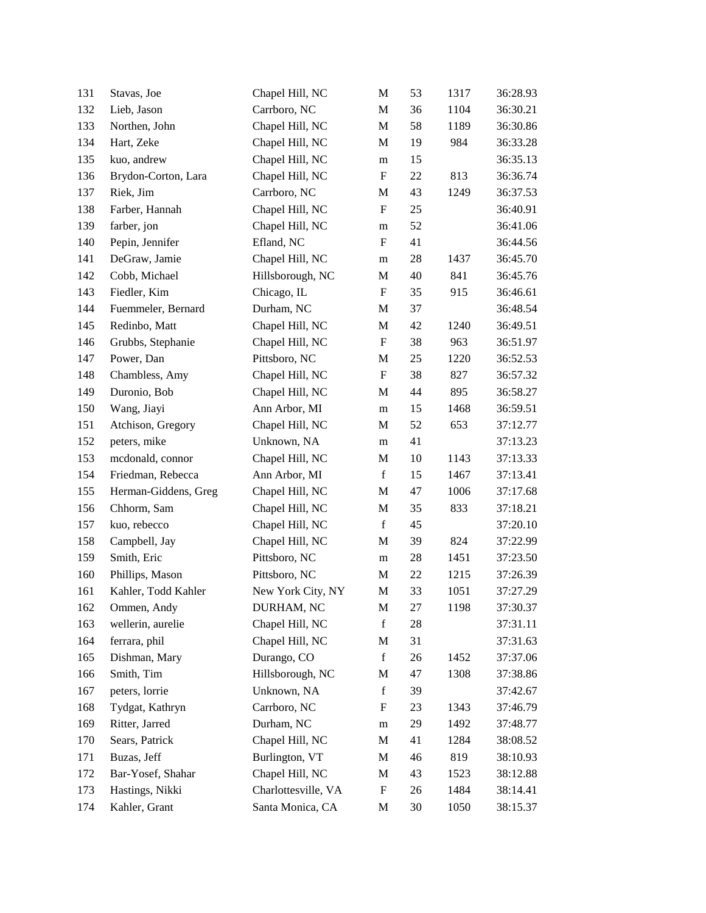| 131 | Stavas, Joe          | Chapel Hill, NC     | M                         | 53     | 1317 | 36:28.93 |
|-----|----------------------|---------------------|---------------------------|--------|------|----------|
| 132 | Lieb, Jason          | Carrboro, NC        | M                         | 36     | 1104 | 36:30.21 |
| 133 | Northen, John        | Chapel Hill, NC     | M                         | 58     | 1189 | 36:30.86 |
| 134 | Hart, Zeke           | Chapel Hill, NC     | M                         | 19     | 984  | 36:33.28 |
| 135 | kuo, andrew          | Chapel Hill, NC     | m                         | 15     |      | 36:35.13 |
| 136 | Brydon-Corton, Lara  | Chapel Hill, NC     | $\boldsymbol{\mathrm{F}}$ | $22\,$ | 813  | 36:36.74 |
| 137 | Riek, Jim            | Carrboro, NC        | M                         | 43     | 1249 | 36:37.53 |
| 138 | Farber, Hannah       | Chapel Hill, NC     | $\boldsymbol{\mathrm{F}}$ | 25     |      | 36:40.91 |
| 139 | farber, jon          | Chapel Hill, NC     | m                         | 52     |      | 36:41.06 |
| 140 | Pepin, Jennifer      | Efland, NC          | F                         | 41     |      | 36:44.56 |
| 141 | DeGraw, Jamie        | Chapel Hill, NC     | ${\bf m}$                 | $28\,$ | 1437 | 36:45.70 |
| 142 | Cobb, Michael        | Hillsborough, NC    | M                         | 40     | 841  | 36:45.76 |
| 143 | Fiedler, Kim         | Chicago, IL         | $\boldsymbol{\mathrm{F}}$ | 35     | 915  | 36:46.61 |
| 144 | Fuemmeler, Bernard   | Durham, NC          | M                         | 37     |      | 36:48.54 |
| 145 | Redinbo, Matt        | Chapel Hill, NC     | M                         | 42     | 1240 | 36:49.51 |
| 146 | Grubbs, Stephanie    | Chapel Hill, NC     | $\boldsymbol{\mathrm{F}}$ | 38     | 963  | 36:51.97 |
| 147 | Power, Dan           | Pittsboro, NC       | M                         | 25     | 1220 | 36:52.53 |
| 148 | Chambless, Amy       | Chapel Hill, NC     | $\boldsymbol{\mathrm{F}}$ | 38     | 827  | 36:57.32 |
| 149 | Duronio, Bob         | Chapel Hill, NC     | M                         | 44     | 895  | 36:58.27 |
| 150 | Wang, Jiayi          | Ann Arbor, MI       | m                         | 15     | 1468 | 36:59.51 |
| 151 | Atchison, Gregory    | Chapel Hill, NC     | M                         | 52     | 653  | 37:12.77 |
| 152 | peters, mike         | Unknown, NA         | m                         | 41     |      | 37:13.23 |
| 153 | mcdonald, connor     | Chapel Hill, NC     | M                         | 10     | 1143 | 37:13.33 |
| 154 | Friedman, Rebecca    | Ann Arbor, MI       | $\mathbf f$               | 15     | 1467 | 37:13.41 |
| 155 | Herman-Giddens, Greg | Chapel Hill, NC     | M                         | 47     | 1006 | 37:17.68 |
| 156 | Chhorm, Sam          | Chapel Hill, NC     | M                         | 35     | 833  | 37:18.21 |
| 157 | kuo, rebecco         | Chapel Hill, NC     | $\mathbf f$               | 45     |      | 37:20.10 |
| 158 | Campbell, Jay        | Chapel Hill, NC     | $\mathbf M$               | 39     | 824  | 37:22.99 |
| 159 | Smith, Eric          | Pittsboro, NC       | m                         | 28     | 1451 | 37:23.50 |
| 160 | Phillips, Mason      | Pittsboro, NC       | M                         | $22\,$ | 1215 | 37:26.39 |
| 161 | Kahler, Todd Kahler  | New York City, NY   | M                         | 33     | 1051 | 37:27.29 |
| 162 | Ommen, Andy          | DURHAM, NC          | M                         | 27     | 1198 | 37:30.37 |
| 163 | wellerin, aurelie    | Chapel Hill, NC     | $\mathbf f$               | 28     |      | 37:31.11 |
| 164 | ferrara, phil        | Chapel Hill, NC     | M                         | 31     |      | 37:31.63 |
| 165 | Dishman, Mary        | Durango, CO         | $\mathbf f$               | 26     | 1452 | 37:37.06 |
| 166 | Smith, Tim           | Hillsborough, NC    | M                         | 47     | 1308 | 37:38.86 |
| 167 | peters, lorrie       | Unknown, NA         | $\mathbf f$               | 39     |      | 37:42.67 |
| 168 | Tydgat, Kathryn      | Carrboro, NC        | ${\rm F}$                 | 23     | 1343 | 37:46.79 |
| 169 | Ritter, Jarred       | Durham, NC          | m                         | 29     | 1492 | 37:48.77 |
| 170 | Sears, Patrick       | Chapel Hill, NC     | M                         | 41     | 1284 | 38:08.52 |
| 171 | Buzas, Jeff          | Burlington, VT      | M                         | 46     | 819  | 38:10.93 |
| 172 | Bar-Yosef, Shahar    | Chapel Hill, NC     | M                         | 43     | 1523 | 38:12.88 |
| 173 | Hastings, Nikki      | Charlottesville, VA | $\boldsymbol{\mathrm{F}}$ | 26     | 1484 | 38:14.41 |
| 174 | Kahler, Grant        | Santa Monica, CA    | M                         | 30     | 1050 | 38:15.37 |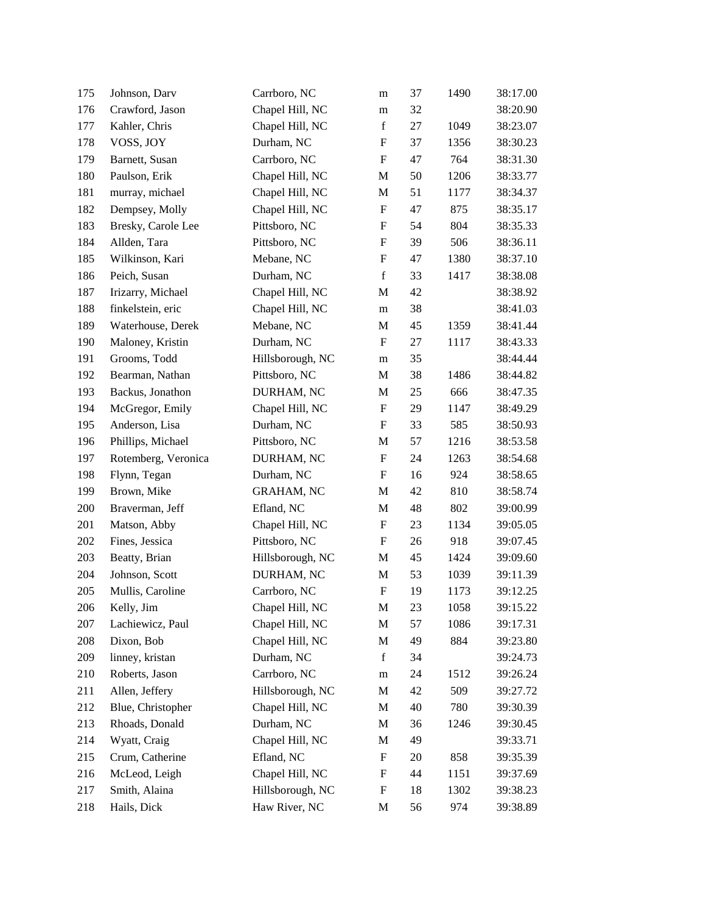| 175 | Johnson, Darv       | Carrboro, NC      | m                         | 37 | 1490 | 38:17.00 |
|-----|---------------------|-------------------|---------------------------|----|------|----------|
| 176 | Crawford, Jason     | Chapel Hill, NC   | m                         | 32 |      | 38:20.90 |
| 177 | Kahler, Chris       | Chapel Hill, NC   | $\mathbf f$               | 27 | 1049 | 38:23.07 |
| 178 | VOSS, JOY           | Durham, NC        | F                         | 37 | 1356 | 38:30.23 |
| 179 | Barnett, Susan      | Carrboro, NC      | $\boldsymbol{\mathrm{F}}$ | 47 | 764  | 38:31.30 |
| 180 | Paulson, Erik       | Chapel Hill, NC   | M                         | 50 | 1206 | 38:33.77 |
| 181 | murray, michael     | Chapel Hill, NC   | M                         | 51 | 1177 | 38:34.37 |
| 182 | Dempsey, Molly      | Chapel Hill, NC   | $\boldsymbol{\mathrm{F}}$ | 47 | 875  | 38:35.17 |
| 183 | Bresky, Carole Lee  | Pittsboro, NC     | ${\rm F}$                 | 54 | 804  | 38:35.33 |
| 184 | Allden, Tara        | Pittsboro, NC     | ${\rm F}$                 | 39 | 506  | 38:36.11 |
| 185 | Wilkinson, Kari     | Mebane, NC        | $\boldsymbol{\mathrm{F}}$ | 47 | 1380 | 38:37.10 |
| 186 | Peich, Susan        | Durham, NC        | $\mathbf f$               | 33 | 1417 | 38:38.08 |
| 187 | Irizarry, Michael   | Chapel Hill, NC   | $\mathbf M$               | 42 |      | 38:38.92 |
| 188 | finkelstein, eric   | Chapel Hill, NC   | ${\rm m}$                 | 38 |      | 38:41.03 |
| 189 | Waterhouse, Derek   | Mebane, NC        | M                         | 45 | 1359 | 38:41.44 |
| 190 | Maloney, Kristin    | Durham, NC        | F                         | 27 | 1117 | 38:43.33 |
| 191 | Grooms, Todd        | Hillsborough, NC  | m                         | 35 |      | 38:44.44 |
| 192 | Bearman, Nathan     | Pittsboro, NC     | M                         | 38 | 1486 | 38:44.82 |
| 193 | Backus, Jonathon    | DURHAM, NC        | M                         | 25 | 666  | 38:47.35 |
| 194 | McGregor, Emily     | Chapel Hill, NC   | ${\bf F}$                 | 29 | 1147 | 38:49.29 |
| 195 | Anderson, Lisa      | Durham, NC        | $\boldsymbol{\mathrm{F}}$ | 33 | 585  | 38:50.93 |
| 196 | Phillips, Michael   | Pittsboro, NC     | M                         | 57 | 1216 | 38:53.58 |
| 197 | Rotemberg, Veronica | DURHAM, NC        | ${\rm F}$                 | 24 | 1263 | 38:54.68 |
| 198 | Flynn, Tegan        | Durham, NC        | ${\rm F}$                 | 16 | 924  | 38:58.65 |
| 199 | Brown, Mike         | <b>GRAHAM, NC</b> | M                         | 42 | 810  | 38:58.74 |
| 200 | Braverman, Jeff     | Efland, NC        | M                         | 48 | 802  | 39:00.99 |
| 201 | Matson, Abby        | Chapel Hill, NC   | F                         | 23 | 1134 | 39:05.05 |
| 202 | Fines, Jessica      | Pittsboro, NC     | ${\rm F}$                 | 26 | 918  | 39:07.45 |
| 203 | Beatty, Brian       | Hillsborough, NC  | M                         | 45 | 1424 | 39:09.60 |
| 204 | Johnson, Scott      | DURHAM, NC        | M                         | 53 | 1039 | 39:11.39 |
| 205 | Mullis, Caroline    | Carrboro, NC      | ${\rm F}$                 | 19 | 1173 | 39:12.25 |
| 206 | Kelly, Jim          | Chapel Hill, NC   | M                         | 23 | 1058 | 39:15.22 |
| 207 | Lachiewicz, Paul    | Chapel Hill, NC   | M                         | 57 | 1086 | 39:17.31 |
| 208 | Dixon, Bob          | Chapel Hill, NC   | M                         | 49 | 884  | 39:23.80 |
| 209 | linney, kristan     | Durham, NC        | $\mathbf f$               | 34 |      | 39:24.73 |
| 210 | Roberts, Jason      | Carrboro, NC      | m                         | 24 | 1512 | 39:26.24 |
| 211 | Allen, Jeffery      | Hillsborough, NC  | M                         | 42 | 509  | 39:27.72 |
| 212 | Blue, Christopher   | Chapel Hill, NC   | M                         | 40 | 780  | 39:30.39 |
| 213 | Rhoads, Donald      | Durham, NC        | М                         | 36 | 1246 | 39:30.45 |
| 214 | Wyatt, Craig        | Chapel Hill, NC   | M                         | 49 |      | 39:33.71 |
| 215 | Crum, Catherine     | Efland, NC        | F                         | 20 | 858  | 39:35.39 |
| 216 | McLeod, Leigh       | Chapel Hill, NC   | ${\rm F}$                 | 44 | 1151 | 39:37.69 |
| 217 | Smith, Alaina       | Hillsborough, NC  | ${\rm F}$                 | 18 | 1302 | 39:38.23 |
| 218 | Hails, Dick         | Haw River, NC     | M                         | 56 | 974  | 39:38.89 |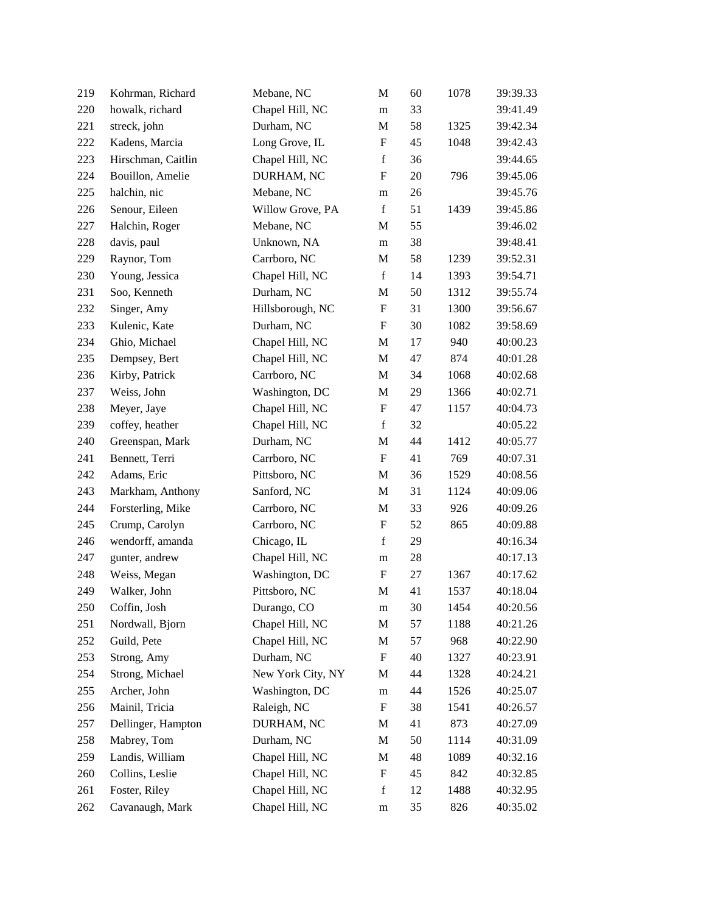| 219 | Kohrman, Richard   | Mebane, NC        | M                         | 60 | 1078 | 39:39.33 |
|-----|--------------------|-------------------|---------------------------|----|------|----------|
| 220 | howalk, richard    | Chapel Hill, NC   | m                         | 33 |      | 39:41.49 |
| 221 | streck, john       | Durham, NC        | $\mathbf M$               | 58 | 1325 | 39:42.34 |
| 222 | Kadens, Marcia     | Long Grove, IL    | ${\rm F}$                 | 45 | 1048 | 39:42.43 |
| 223 | Hirschman, Caitlin | Chapel Hill, NC   | $\mathbf f$               | 36 |      | 39:44.65 |
| 224 | Bouillon, Amelie   | DURHAM, NC        | ${\rm F}$                 | 20 | 796  | 39:45.06 |
| 225 | halchin, nic       | Mebane, NC        | m                         | 26 |      | 39:45.76 |
| 226 | Senour, Eileen     | Willow Grove, PA  | $\mathbf f$               | 51 | 1439 | 39:45.86 |
| 227 | Halchin, Roger     | Mebane, NC        | M                         | 55 |      | 39:46.02 |
| 228 | davis, paul        | Unknown, NA       | ${\bf m}$                 | 38 |      | 39:48.41 |
| 229 | Raynor, Tom        | Carrboro, NC      | M                         | 58 | 1239 | 39:52.31 |
| 230 | Young, Jessica     | Chapel Hill, NC   | $\mathbf f$               | 14 | 1393 | 39:54.71 |
| 231 | Soo, Kenneth       | Durham, NC        | $\mathbf M$               | 50 | 1312 | 39:55.74 |
| 232 | Singer, Amy        | Hillsborough, NC  | ${\bf F}$                 | 31 | 1300 | 39:56.67 |
| 233 | Kulenic, Kate      | Durham, NC        | ${\bf F}$                 | 30 | 1082 | 39:58.69 |
| 234 | Ghio, Michael      | Chapel Hill, NC   | M                         | 17 | 940  | 40:00.23 |
| 235 | Dempsey, Bert      | Chapel Hill, NC   | M                         | 47 | 874  | 40:01.28 |
| 236 | Kirby, Patrick     | Carrboro, NC      | M                         | 34 | 1068 | 40:02.68 |
| 237 | Weiss, John        | Washington, DC    | M                         | 29 | 1366 | 40:02.71 |
| 238 | Meyer, Jaye        | Chapel Hill, NC   | ${\bf F}$                 | 47 | 1157 | 40:04.73 |
| 239 | coffey, heather    | Chapel Hill, NC   | $\mathbf f$               | 32 |      | 40:05.22 |
| 240 | Greenspan, Mark    | Durham, NC        | M                         | 44 | 1412 | 40:05.77 |
| 241 | Bennett, Terri     | Carrboro, NC      | $\boldsymbol{\mathrm{F}}$ | 41 | 769  | 40:07.31 |
| 242 | Adams, Eric        | Pittsboro, NC     | M                         | 36 | 1529 | 40:08.56 |
| 243 | Markham, Anthony   | Sanford, NC       | $\mathbf M$               | 31 | 1124 | 40:09.06 |
| 244 | Forsterling, Mike  | Carrboro, NC      | M                         | 33 | 926  | 40:09.26 |
| 245 | Crump, Carolyn     | Carrboro, NC      | F                         | 52 | 865  | 40:09.88 |
| 246 | wendorff, amanda   | Chicago, IL       | $\mathbf f$               | 29 |      | 40:16.34 |
| 247 | gunter, andrew     | Chapel Hill, NC   | ${\bf m}$                 | 28 |      | 40:17.13 |
| 248 | Weiss, Megan       | Washington, DC    | ${\bf F}$                 | 27 | 1367 | 40:17.62 |
| 249 | Walker, John       | Pittsboro, NC     | M                         | 41 | 1537 | 40:18.04 |
| 250 | Coffin, Josh       | Durango, CO       | m                         | 30 | 1454 | 40:20.56 |
| 251 | Nordwall, Bjorn    | Chapel Hill, NC   | $\mathbf M$               | 57 | 1188 | 40:21.26 |
| 252 | Guild, Pete        | Chapel Hill, NC   | M                         | 57 | 968  | 40:22.90 |
| 253 | Strong, Amy        | Durham, NC        | F                         | 40 | 1327 | 40:23.91 |
| 254 | Strong, Michael    | New York City, NY | M                         | 44 | 1328 | 40:24.21 |
| 255 | Archer, John       | Washington, DC    | ${\bf m}$                 | 44 | 1526 | 40:25.07 |
| 256 | Mainil, Tricia     | Raleigh, NC       | $\boldsymbol{\mathrm{F}}$ | 38 | 1541 | 40:26.57 |
| 257 | Dellinger, Hampton | DURHAM, NC        | M                         | 41 | 873  | 40:27.09 |
| 258 | Mabrey, Tom        | Durham, NC        | M                         | 50 | 1114 | 40:31.09 |
| 259 | Landis, William    | Chapel Hill, NC   | M                         | 48 | 1089 | 40:32.16 |
| 260 | Collins, Leslie    | Chapel Hill, NC   | ${\rm F}$                 | 45 | 842  | 40:32.85 |
| 261 | Foster, Riley      | Chapel Hill, NC   | $\mathbf f$               | 12 | 1488 | 40:32.95 |
| 262 | Cavanaugh, Mark    | Chapel Hill, NC   | m                         | 35 | 826  | 40:35.02 |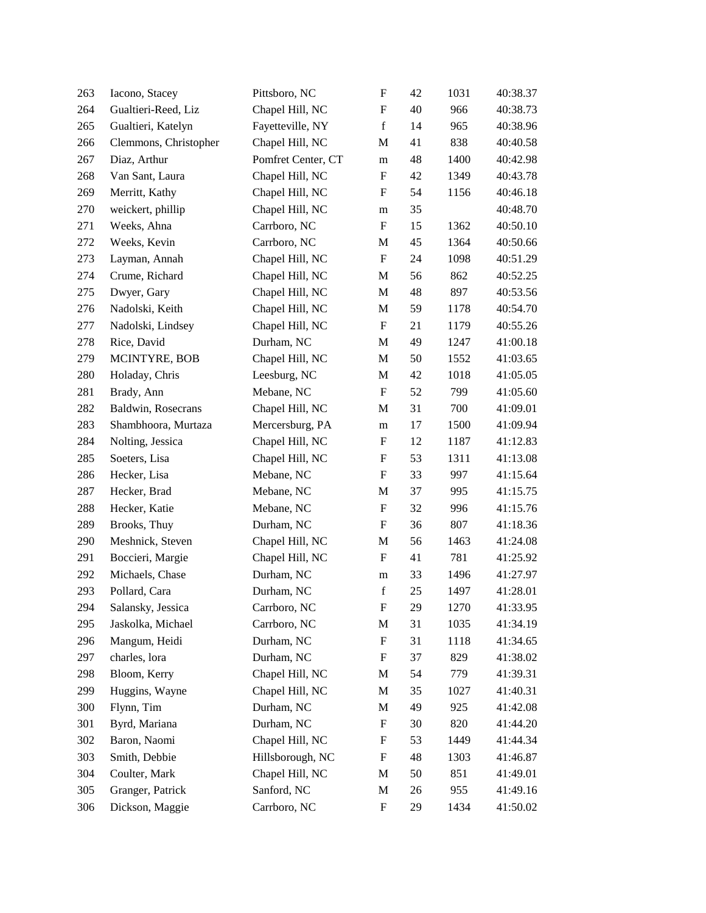| 263 | Iacono, Stacey        | Pittsboro, NC      | $\boldsymbol{\mathrm{F}}$ | 42 | 1031 | 40:38.37 |
|-----|-----------------------|--------------------|---------------------------|----|------|----------|
| 264 | Gualtieri-Reed, Liz   | Chapel Hill, NC    | $\boldsymbol{\mathrm{F}}$ | 40 | 966  | 40:38.73 |
| 265 | Gualtieri, Katelyn    | Fayetteville, NY   | $\mathbf f$               | 14 | 965  | 40:38.96 |
| 266 | Clemmons, Christopher | Chapel Hill, NC    | M                         | 41 | 838  | 40:40.58 |
| 267 | Diaz, Arthur          | Pomfret Center, CT | m                         | 48 | 1400 | 40:42.98 |
| 268 | Van Sant, Laura       | Chapel Hill, NC    | $\boldsymbol{\mathrm{F}}$ | 42 | 1349 | 40:43.78 |
| 269 | Merritt, Kathy        | Chapel Hill, NC    | F                         | 54 | 1156 | 40:46.18 |
| 270 | weickert, phillip     | Chapel Hill, NC    | m                         | 35 |      | 40:48.70 |
| 271 | Weeks, Ahna           | Carrboro, NC       | $\boldsymbol{\mathrm{F}}$ | 15 | 1362 | 40:50.10 |
| 272 | Weeks, Kevin          | Carrboro, NC       | M                         | 45 | 1364 | 40:50.66 |
| 273 | Layman, Annah         | Chapel Hill, NC    | $\boldsymbol{\mathrm{F}}$ | 24 | 1098 | 40:51.29 |
| 274 | Crume, Richard        | Chapel Hill, NC    | M                         | 56 | 862  | 40:52.25 |
| 275 | Dwyer, Gary           | Chapel Hill, NC    | $\mathbf M$               | 48 | 897  | 40:53.56 |
| 276 | Nadolski, Keith       | Chapel Hill, NC    | M                         | 59 | 1178 | 40:54.70 |
| 277 | Nadolski, Lindsey     | Chapel Hill, NC    | ${\bf F}$                 | 21 | 1179 | 40:55.26 |
| 278 | Rice, David           | Durham, NC         | M                         | 49 | 1247 | 41:00.18 |
| 279 | MCINTYRE, BOB         | Chapel Hill, NC    | M                         | 50 | 1552 | 41:03.65 |
| 280 | Holaday, Chris        | Leesburg, NC       | M                         | 42 | 1018 | 41:05.05 |
| 281 | Brady, Ann            | Mebane, NC         | ${\bf F}$                 | 52 | 799  | 41:05.60 |
| 282 | Baldwin, Rosecrans    | Chapel Hill, NC    | M                         | 31 | 700  | 41:09.01 |
| 283 | Shambhoora, Murtaza   | Mercersburg, PA    | m                         | 17 | 1500 | 41:09.94 |
| 284 | Nolting, Jessica      | Chapel Hill, NC    | F                         | 12 | 1187 | 41:12.83 |
| 285 | Soeters, Lisa         | Chapel Hill, NC    | F                         | 53 | 1311 | 41:13.08 |
| 286 | Hecker, Lisa          | Mebane, NC         | $\boldsymbol{\mathrm{F}}$ | 33 | 997  | 41:15.64 |
| 287 | Hecker, Brad          | Mebane, NC         | M                         | 37 | 995  | 41:15.75 |
| 288 | Hecker, Katie         | Mebane, NC         | $\boldsymbol{\mathrm{F}}$ | 32 | 996  | 41:15.76 |
| 289 | Brooks, Thuy          | Durham, NC         | F                         | 36 | 807  | 41:18.36 |
| 290 | Meshnick, Steven      | Chapel Hill, NC    | M                         | 56 | 1463 | 41:24.08 |
| 291 | Boccieri, Margie      | Chapel Hill, NC    | F                         | 41 | 781  | 41:25.92 |
| 292 | Michaels, Chase       | Durham, NC         | ${\rm m}$                 | 33 | 1496 | 41:27.97 |
| 293 | Pollard, Cara         | Durham, NC         | $\mathbf f$               | 25 | 1497 | 41:28.01 |
| 294 | Salansky, Jessica     | Carrboro, NC       | F                         | 29 | 1270 | 41:33.95 |
| 295 | Jaskolka, Michael     | Carrboro, NC       | M                         | 31 | 1035 | 41:34.19 |
| 296 | Mangum, Heidi         | Durham, NC         | F                         | 31 | 1118 | 41:34.65 |
| 297 | charles, lora         | Durham, NC         | ${\bf F}$                 | 37 | 829  | 41:38.02 |
| 298 | Bloom, Kerry          | Chapel Hill, NC    | M                         | 54 | 779  | 41:39.31 |
| 299 | Huggins, Wayne        | Chapel Hill, NC    | M                         | 35 | 1027 | 41:40.31 |
| 300 | Flynn, Tim            | Durham, NC         | M                         | 49 | 925  | 41:42.08 |
| 301 | Byrd, Mariana         | Durham, NC         | F                         | 30 | 820  | 41:44.20 |
| 302 | Baron, Naomi          | Chapel Hill, NC    | F                         | 53 | 1449 | 41:44.34 |
| 303 | Smith, Debbie         | Hillsborough, NC   | F                         | 48 | 1303 | 41:46.87 |
| 304 | Coulter, Mark         | Chapel Hill, NC    | M                         | 50 | 851  | 41:49.01 |
| 305 | Granger, Patrick      | Sanford, NC        | M                         | 26 | 955  | 41:49.16 |
| 306 | Dickson, Maggie       | Carrboro, NC       | F                         | 29 | 1434 | 41:50.02 |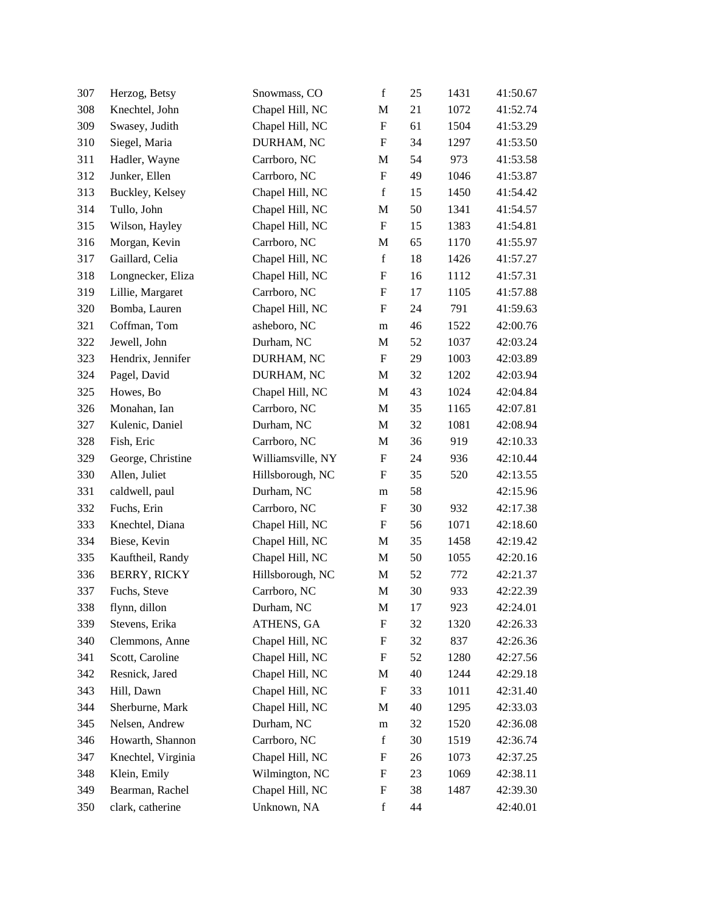| 307 | Herzog, Betsy       | Snowmass, CO      | $\mathbf f$               | 25 | 1431 | 41:50.67 |
|-----|---------------------|-------------------|---------------------------|----|------|----------|
| 308 | Knechtel, John      | Chapel Hill, NC   | $\mathbf{M}$              | 21 | 1072 | 41:52.74 |
| 309 | Swasey, Judith      | Chapel Hill, NC   | $\boldsymbol{\mathrm{F}}$ | 61 | 1504 | 41:53.29 |
| 310 | Siegel, Maria       | DURHAM, NC        | $\boldsymbol{\mathrm{F}}$ | 34 | 1297 | 41:53.50 |
| 311 | Hadler, Wayne       | Carrboro, NC      | M                         | 54 | 973  | 41:53.58 |
| 312 | Junker, Ellen       | Carrboro, NC      | $\boldsymbol{\mathrm{F}}$ | 49 | 1046 | 41:53.87 |
| 313 | Buckley, Kelsey     | Chapel Hill, NC   | $\mathbf f$               | 15 | 1450 | 41:54.42 |
| 314 | Tullo, John         | Chapel Hill, NC   | $\mathbf M$               | 50 | 1341 | 41:54.57 |
| 315 | Wilson, Hayley      | Chapel Hill, NC   | $\mathbf F$               | 15 | 1383 | 41:54.81 |
| 316 | Morgan, Kevin       | Carrboro, NC      | M                         | 65 | 1170 | 41:55.97 |
| 317 | Gaillard, Celia     | Chapel Hill, NC   | $\mathbf f$               | 18 | 1426 | 41:57.27 |
| 318 | Longnecker, Eliza   | Chapel Hill, NC   | F                         | 16 | 1112 | 41:57.31 |
| 319 | Lillie, Margaret    | Carrboro, NC      | $\boldsymbol{\mathrm{F}}$ | 17 | 1105 | 41:57.88 |
| 320 | Bomba, Lauren       | Chapel Hill, NC   | $\boldsymbol{\mathrm{F}}$ | 24 | 791  | 41:59.63 |
| 321 | Coffman, Tom        | asheboro, NC      | ${\rm m}$                 | 46 | 1522 | 42:00.76 |
| 322 | Jewell, John        | Durham, NC        | M                         | 52 | 1037 | 42:03.24 |
| 323 | Hendrix, Jennifer   | DURHAM, NC        | F                         | 29 | 1003 | 42:03.89 |
| 324 | Pagel, David        | DURHAM, NC        | $\mathbf{M}$              | 32 | 1202 | 42:03.94 |
| 325 | Howes, Bo           | Chapel Hill, NC   | M                         | 43 | 1024 | 42:04.84 |
| 326 | Monahan, Ian        | Carrboro, NC      | M                         | 35 | 1165 | 42:07.81 |
| 327 | Kulenic, Daniel     | Durham, NC        | M                         | 32 | 1081 | 42:08.94 |
| 328 | Fish, Eric          | Carrboro, NC      | M                         | 36 | 919  | 42:10.33 |
| 329 | George, Christine   | Williamsville, NY | $\boldsymbol{\mathrm{F}}$ | 24 | 936  | 42:10.44 |
| 330 | Allen, Juliet       | Hillsborough, NC  | F                         | 35 | 520  | 42:13.55 |
| 331 | caldwell, paul      | Durham, NC        | ${\rm m}$                 | 58 |      | 42:15.96 |
| 332 | Fuchs, Erin         | Carrboro, NC      | F                         | 30 | 932  | 42:17.38 |
| 333 | Knechtel, Diana     | Chapel Hill, NC   | F                         | 56 | 1071 | 42:18.60 |
| 334 | Biese, Kevin        | Chapel Hill, NC   | $\mathbf{M}$              | 35 | 1458 | 42:19.42 |
| 335 | Kauftheil, Randy    | Chapel Hill, NC   | M                         | 50 | 1055 | 42:20.16 |
| 336 | <b>BERRY, RICKY</b> | Hillsborough, NC  | M                         | 52 | 772  | 42:21.37 |
| 337 | Fuchs, Steve        | Carrboro, NC      | M                         | 30 | 933  | 42:22.39 |
| 338 | flynn, dillon       | Durham, NC        | M                         | 17 | 923  | 42:24.01 |
| 339 | Stevens, Erika      | ATHENS, GA        | $\boldsymbol{\mathrm{F}}$ | 32 | 1320 | 42:26.33 |
| 340 | Clemmons, Anne      | Chapel Hill, NC   | $\boldsymbol{\mathrm{F}}$ | 32 | 837  | 42:26.36 |
| 341 | Scott, Caroline     | Chapel Hill, NC   | $\boldsymbol{\mathrm{F}}$ | 52 | 1280 | 42:27.56 |
| 342 | Resnick, Jared      | Chapel Hill, NC   | M                         | 40 | 1244 | 42:29.18 |
| 343 | Hill, Dawn          | Chapel Hill, NC   | F                         | 33 | 1011 | 42:31.40 |
| 344 | Sherburne, Mark     | Chapel Hill, NC   | $\mathbf{M}$              | 40 | 1295 | 42:33.03 |
| 345 | Nelsen, Andrew      | Durham, NC        | m                         | 32 | 1520 | 42:36.08 |
| 346 | Howarth, Shannon    | Carrboro, NC      | $\mathbf f$               | 30 | 1519 | 42:36.74 |
| 347 | Knechtel, Virginia  | Chapel Hill, NC   | F                         | 26 | 1073 | 42:37.25 |
| 348 | Klein, Emily        | Wilmington, NC    | $\boldsymbol{\mathrm{F}}$ | 23 | 1069 | 42:38.11 |
| 349 | Bearman, Rachel     | Chapel Hill, NC   | $\boldsymbol{\mathrm{F}}$ | 38 | 1487 | 42:39.30 |
| 350 | clark, catherine    | Unknown, NA       | $\mathbf f$               | 44 |      | 42:40.01 |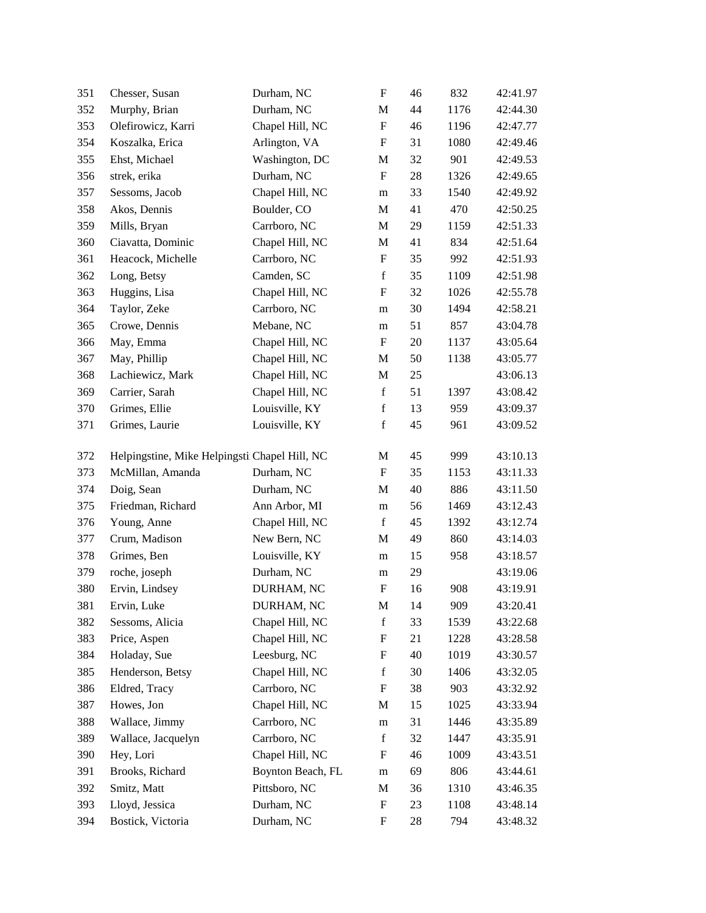| 351 | Chesser, Susan                                | Durham, NC        | $\boldsymbol{\mathrm{F}}$ | 46 | 832  | 42:41.97 |
|-----|-----------------------------------------------|-------------------|---------------------------|----|------|----------|
| 352 | Murphy, Brian                                 | Durham, NC        | M                         | 44 | 1176 | 42:44.30 |
| 353 | Olefirowicz, Karri                            | Chapel Hill, NC   | $\mathbf F$               | 46 | 1196 | 42:47.77 |
| 354 | Koszalka, Erica                               | Arlington, VA     | $\boldsymbol{\mathrm{F}}$ | 31 | 1080 | 42:49.46 |
| 355 | Ehst, Michael                                 | Washington, DC    | M                         | 32 | 901  | 42:49.53 |
| 356 | strek, erika                                  | Durham, NC        | $\boldsymbol{\mathrm{F}}$ | 28 | 1326 | 42:49.65 |
| 357 | Sessoms, Jacob                                | Chapel Hill, NC   | m                         | 33 | 1540 | 42:49.92 |
| 358 | Akos, Dennis                                  | Boulder, CO       | M                         | 41 | 470  | 42:50.25 |
| 359 | Mills, Bryan                                  | Carrboro, NC      | M                         | 29 | 1159 | 42:51.33 |
| 360 | Ciavatta, Dominic                             | Chapel Hill, NC   | M                         | 41 | 834  | 42:51.64 |
| 361 | Heacock, Michelle                             | Carrboro, NC      | $\boldsymbol{\mathrm{F}}$ | 35 | 992  | 42:51.93 |
| 362 | Long, Betsy                                   | Camden, SC        | $\mathbf f$               | 35 | 1109 | 42:51.98 |
| 363 | Huggins, Lisa                                 | Chapel Hill, NC   | F                         | 32 | 1026 | 42:55.78 |
| 364 | Taylor, Zeke                                  | Carrboro, NC      | m                         | 30 | 1494 | 42:58.21 |
| 365 | Crowe, Dennis                                 | Mebane, NC        | m                         | 51 | 857  | 43:04.78 |
| 366 | May, Emma                                     | Chapel Hill, NC   | F                         | 20 | 1137 | 43:05.64 |
| 367 | May, Phillip                                  | Chapel Hill, NC   | M                         | 50 | 1138 | 43:05.77 |
| 368 | Lachiewicz, Mark                              | Chapel Hill, NC   | M                         | 25 |      | 43:06.13 |
| 369 | Carrier, Sarah                                | Chapel Hill, NC   | $\mathbf f$               | 51 | 1397 | 43:08.42 |
| 370 | Grimes, Ellie                                 | Louisville, KY    | $\mathbf f$               | 13 | 959  | 43:09.37 |
| 371 | Grimes, Laurie                                | Louisville, KY    | $\mathbf f$               | 45 | 961  | 43:09.52 |
|     |                                               |                   |                           |    |      |          |
| 372 | Helpingstine, Mike Helpingsti Chapel Hill, NC |                   | M                         | 45 | 999  | 43:10.13 |
| 373 | McMillan, Amanda                              | Durham, NC        | F                         | 35 | 1153 | 43:11.33 |
| 374 | Doig, Sean                                    | Durham, NC        | M                         | 40 | 886  | 43:11.50 |
| 375 | Friedman, Richard                             | Ann Arbor, MI     | m                         | 56 | 1469 | 43:12.43 |
| 376 | Young, Anne                                   | Chapel Hill, NC   | $\mathbf f$               | 45 | 1392 | 43:12.74 |
| 377 | Crum, Madison                                 | New Bern, NC      | M                         | 49 | 860  | 43:14.03 |
| 378 | Grimes, Ben                                   | Louisville, KY    | m                         | 15 | 958  | 43:18.57 |
| 379 | roche, joseph                                 | Durham, NC        | m                         | 29 |      | 43:19.06 |
| 380 | Ervin, Lindsey                                | DURHAM, NC        | $\boldsymbol{\mathrm{F}}$ | 16 | 908  | 43:19.91 |
| 381 | Ervin, Luke                                   | DURHAM, NC        | M                         | 14 | 909  | 43:20.41 |
| 382 | Sessoms, Alicia                               | Chapel Hill, NC   | $\mathbf f$               | 33 | 1539 | 43:22.68 |
| 383 | Price, Aspen                                  | Chapel Hill, NC   | $\boldsymbol{\mathrm{F}}$ | 21 | 1228 | 43:28.58 |
| 384 | Holaday, Sue                                  | Leesburg, NC      | F                         | 40 | 1019 | 43:30.57 |
| 385 | Henderson, Betsy                              | Chapel Hill, NC   | $\mathbf f$               | 30 | 1406 | 43:32.05 |
| 386 | Eldred, Tracy                                 | Carrboro, NC      | F                         | 38 | 903  | 43:32.92 |
| 387 | Howes, Jon                                    | Chapel Hill, NC   | М                         | 15 | 1025 | 43:33.94 |
| 388 | Wallace, Jimmy                                | Carrboro, NC      | m                         | 31 | 1446 | 43:35.89 |
| 389 | Wallace, Jacquelyn                            | Carrboro, NC      | $\mathbf f$               | 32 | 1447 | 43:35.91 |
| 390 | Hey, Lori                                     | Chapel Hill, NC   | F                         | 46 | 1009 | 43:43.51 |
| 391 | Brooks, Richard                               | Boynton Beach, FL | m                         | 69 | 806  | 43:44.61 |
| 392 | Smitz, Matt                                   | Pittsboro, NC     | M                         | 36 | 1310 | 43:46.35 |
| 393 | Lloyd, Jessica                                | Durham, NC        | $\boldsymbol{\mathrm{F}}$ | 23 | 1108 | 43:48.14 |
| 394 | Bostick, Victoria                             | Durham, NC        | F                         | 28 | 794  | 43:48.32 |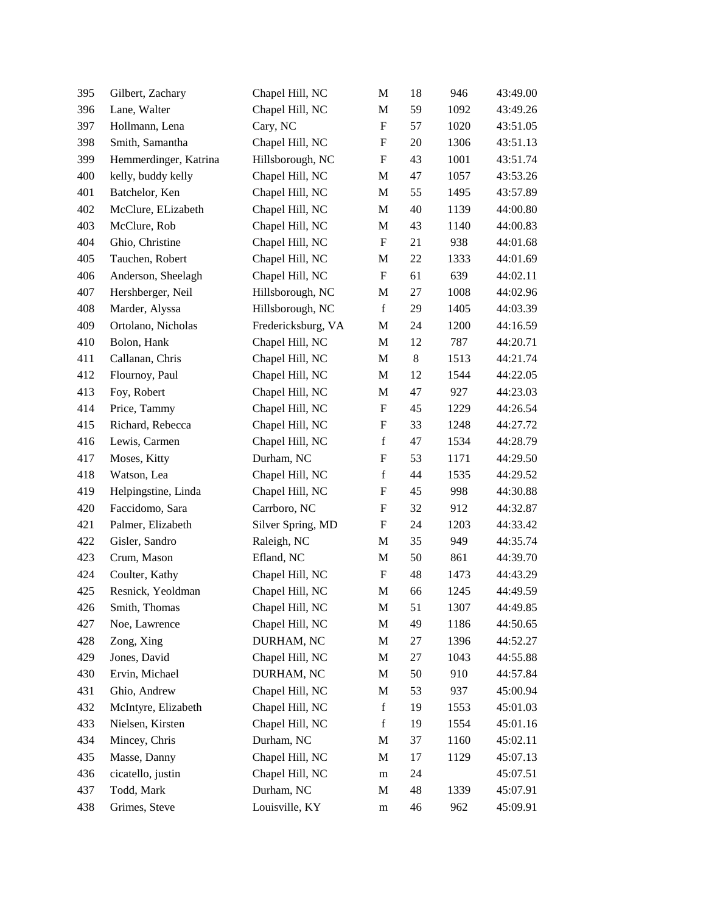| 395 | Gilbert, Zachary      | Chapel Hill, NC    | M                         | 18    | 946  | 43:49.00 |
|-----|-----------------------|--------------------|---------------------------|-------|------|----------|
| 396 | Lane, Walter          | Chapel Hill, NC    | M                         | 59    | 1092 | 43:49.26 |
| 397 | Hollmann, Lena        | Cary, NC           | $\boldsymbol{\mathrm{F}}$ | 57    | 1020 | 43:51.05 |
| 398 | Smith, Samantha       | Chapel Hill, NC    | $\boldsymbol{\mathrm{F}}$ | 20    | 1306 | 43:51.13 |
| 399 | Hemmerdinger, Katrina | Hillsborough, NC   | $\boldsymbol{\mathrm{F}}$ | 43    | 1001 | 43:51.74 |
| 400 | kelly, buddy kelly    | Chapel Hill, NC    | $\mathbf M$               | 47    | 1057 | 43:53.26 |
| 401 | Batchelor, Ken        | Chapel Hill, NC    | M                         | 55    | 1495 | 43:57.89 |
| 402 | McClure, ELizabeth    | Chapel Hill, NC    | M                         | 40    | 1139 | 44:00.80 |
| 403 | McClure, Rob          | Chapel Hill, NC    | M                         | 43    | 1140 | 44:00.83 |
| 404 | Ghio, Christine       | Chapel Hill, NC    | $\mathbf F$               | 21    | 938  | 44:01.68 |
| 405 | Tauchen, Robert       | Chapel Hill, NC    | $\mathbf M$               | 22    | 1333 | 44:01.69 |
| 406 | Anderson, Sheelagh    | Chapel Hill, NC    | F                         | 61    | 639  | 44:02.11 |
| 407 | Hershberger, Neil     | Hillsborough, NC   | $\mathbf M$               | 27    | 1008 | 44:02.96 |
| 408 | Marder, Alyssa        | Hillsborough, NC   | $\mathbf f$               | 29    | 1405 | 44:03.39 |
| 409 | Ortolano, Nicholas    | Fredericksburg, VA | M                         | 24    | 1200 | 44:16.59 |
| 410 | Bolon, Hank           | Chapel Hill, NC    | $\mathbf M$               | 12    | 787  | 44:20.71 |
| 411 | Callanan, Chris       | Chapel Hill, NC    | M                         | $\,8$ | 1513 | 44:21.74 |
| 412 | Flournoy, Paul        | Chapel Hill, NC    | M                         | 12    | 1544 | 44:22.05 |
| 413 | Foy, Robert           | Chapel Hill, NC    | M                         | 47    | 927  | 44:23.03 |
| 414 | Price, Tammy          | Chapel Hill, NC    | $\boldsymbol{\mathrm{F}}$ | 45    | 1229 | 44:26.54 |
| 415 | Richard, Rebecca      | Chapel Hill, NC    | $\boldsymbol{\mathrm{F}}$ | 33    | 1248 | 44:27.72 |
| 416 | Lewis, Carmen         | Chapel Hill, NC    | $\mathbf f$               | 47    | 1534 | 44:28.79 |
| 417 | Moses, Kitty          | Durham, NC         | $\boldsymbol{\mathrm{F}}$ | 53    | 1171 | 44:29.50 |
| 418 | Watson, Lea           | Chapel Hill, NC    | $\mathbf f$               | 44    | 1535 | 44:29.52 |
| 419 | Helpingstine, Linda   | Chapel Hill, NC    | $\boldsymbol{\mathrm{F}}$ | 45    | 998  | 44:30.88 |
| 420 | Faccidomo, Sara       | Carrboro, NC       | $\boldsymbol{\mathrm{F}}$ | 32    | 912  | 44:32.87 |
| 421 | Palmer, Elizabeth     | Silver Spring, MD  | F                         | 24    | 1203 | 44:33.42 |
| 422 | Gisler, Sandro        | Raleigh, NC        | M                         | 35    | 949  | 44:35.74 |
| 423 | Crum, Mason           | Efland, NC         | M                         | 50    | 861  | 44:39.70 |
| 424 | Coulter, Kathy        | Chapel Hill, NC    | F                         | 48    | 1473 | 44:43.29 |
| 425 | Resnick, Yeoldman     | Chapel Hill, NC    | M                         | 66    | 1245 | 44:49.59 |
| 426 | Smith, Thomas         | Chapel Hill, NC    | М                         | 51    | 1307 | 44:49.85 |
| 427 | Noe, Lawrence         | Chapel Hill, NC    | M                         | 49    | 1186 | 44:50.65 |
| 428 | Zong, Xing            | DURHAM, NC         | M                         | 27    | 1396 | 44:52.27 |
| 429 | Jones, David          | Chapel Hill, NC    | M                         | 27    | 1043 | 44:55.88 |
| 430 | Ervin, Michael        | DURHAM, NC         | M                         | 50    | 910  | 44:57.84 |
| 431 | Ghio, Andrew          | Chapel Hill, NC    | M                         | 53    | 937  | 45:00.94 |
| 432 | McIntyre, Elizabeth   | Chapel Hill, NC    | $\mathbf f$               | 19    | 1553 | 45:01.03 |
| 433 | Nielsen, Kirsten      | Chapel Hill, NC    | $\mathbf f$               | 19    | 1554 | 45:01.16 |
| 434 | Mincey, Chris         | Durham, NC         | М                         | 37    | 1160 | 45:02.11 |
| 435 | Masse, Danny          | Chapel Hill, NC    | M                         | 17    | 1129 | 45:07.13 |
| 436 | cicatello, justin     | Chapel Hill, NC    | ${\rm m}$                 | 24    |      | 45:07.51 |
| 437 | Todd, Mark            | Durham, NC         | M                         | 48    | 1339 | 45:07.91 |
| 438 | Grimes, Steve         | Louisville, KY     | ${\rm m}$                 | 46    | 962  | 45:09.91 |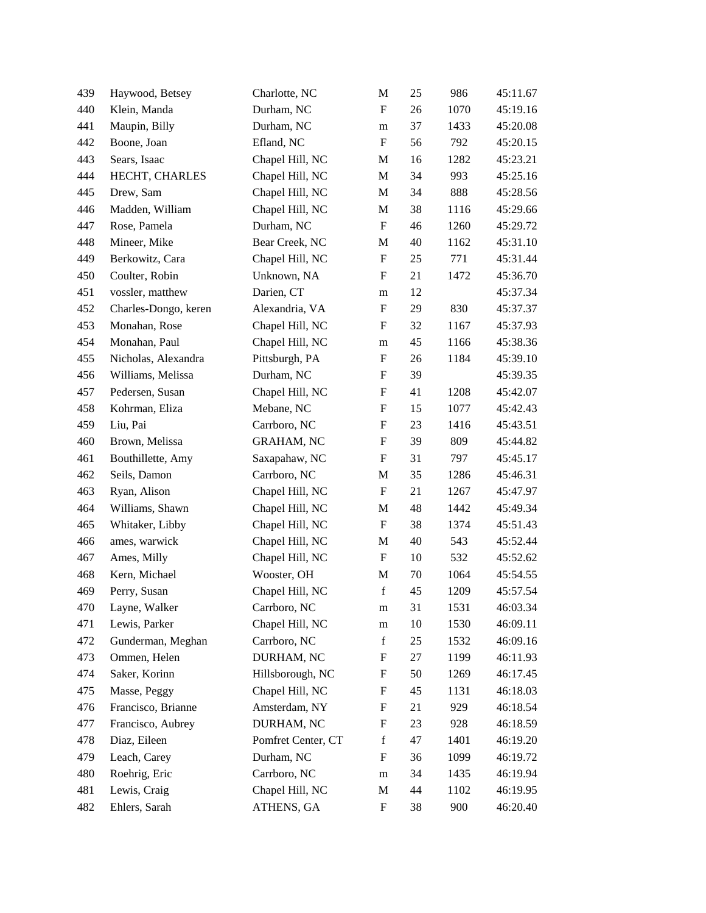| 439 | Haywood, Betsey      | Charlotte, NC      | M                         | 25 | 986  | 45:11.67 |
|-----|----------------------|--------------------|---------------------------|----|------|----------|
| 440 | Klein, Manda         | Durham, NC         | $\boldsymbol{\mathrm{F}}$ | 26 | 1070 | 45:19.16 |
| 441 | Maupin, Billy        | Durham, NC         | m                         | 37 | 1433 | 45:20.08 |
| 442 | Boone, Joan          | Efland, NC         | $\boldsymbol{\mathrm{F}}$ | 56 | 792  | 45:20.15 |
| 443 | Sears, Isaac         | Chapel Hill, NC    | M                         | 16 | 1282 | 45:23.21 |
| 444 | HECHT, CHARLES       | Chapel Hill, NC    | $\mathbf M$               | 34 | 993  | 45:25.16 |
| 445 | Drew, Sam            | Chapel Hill, NC    | M                         | 34 | 888  | 45:28.56 |
| 446 | Madden, William      | Chapel Hill, NC    | M                         | 38 | 1116 | 45:29.66 |
| 447 | Rose, Pamela         | Durham, NC         | $\mathbf F$               | 46 | 1260 | 45:29.72 |
| 448 | Mineer, Mike         | Bear Creek, NC     | M                         | 40 | 1162 | 45:31.10 |
| 449 | Berkowitz, Cara      | Chapel Hill, NC    | $\boldsymbol{\mathrm{F}}$ | 25 | 771  | 45:31.44 |
| 450 | Coulter, Robin       | Unknown, NA        | F                         | 21 | 1472 | 45:36.70 |
| 451 | vossler, matthew     | Darien, CT         | m                         | 12 |      | 45:37.34 |
| 452 | Charles-Dongo, keren | Alexandria, VA     | $\boldsymbol{\mathrm{F}}$ | 29 | 830  | 45:37.37 |
| 453 | Monahan, Rose        | Chapel Hill, NC    | F                         | 32 | 1167 | 45:37.93 |
| 454 | Monahan, Paul        | Chapel Hill, NC    | m                         | 45 | 1166 | 45:38.36 |
| 455 | Nicholas, Alexandra  | Pittsburgh, PA     | F                         | 26 | 1184 | 45:39.10 |
| 456 | Williams, Melissa    | Durham, NC         | F                         | 39 |      | 45:39.35 |
| 457 | Pedersen, Susan      | Chapel Hill, NC    | $\boldsymbol{\mathrm{F}}$ | 41 | 1208 | 45:42.07 |
| 458 | Kohrman, Eliza       | Mebane, NC         | $\boldsymbol{\mathrm{F}}$ | 15 | 1077 | 45:42.43 |
| 459 | Liu, Pai             | Carrboro, NC       | $\boldsymbol{\mathrm{F}}$ | 23 | 1416 | 45:43.51 |
| 460 | Brown, Melissa       | <b>GRAHAM, NC</b>  | F                         | 39 | 809  | 45:44.82 |
| 461 | Bouthillette, Amy    | Saxapahaw, NC      | F                         | 31 | 797  | 45:45.17 |
| 462 | Seils, Damon         | Carrboro, NC       | M                         | 35 | 1286 | 45:46.31 |
| 463 | Ryan, Alison         | Chapel Hill, NC    | $\mathbf F$               | 21 | 1267 | 45:47.97 |
| 464 | Williams, Shawn      | Chapel Hill, NC    | $\mathbf M$               | 48 | 1442 | 45:49.34 |
| 465 | Whitaker, Libby      | Chapel Hill, NC    | F                         | 38 | 1374 | 45:51.43 |
| 466 | ames, warwick        | Chapel Hill, NC    | M                         | 40 | 543  | 45:52.44 |
| 467 | Ames, Milly          | Chapel Hill, NC    | F                         | 10 | 532  | 45:52.62 |
| 468 | Kern, Michael        | Wooster, OH        | M                         | 70 | 1064 | 45:54.55 |
| 469 | Perry, Susan         | Chapel Hill, NC    | $\mathbf f$               | 45 | 1209 | 45:57.54 |
| 470 | Layne, Walker        | Carrboro, NC       | ${\rm m}$                 | 31 | 1531 | 46:03.34 |
| 471 | Lewis, Parker        | Chapel Hill, NC    | m                         | 10 | 1530 | 46:09.11 |
| 472 | Gunderman, Meghan    | Carrboro, NC       | $\mathbf f$               | 25 | 1532 | 46:09.16 |
| 473 | Ommen, Helen         | DURHAM, NC         | ${\bf F}$                 | 27 | 1199 | 46:11.93 |
| 474 | Saker, Korinn        | Hillsborough, NC   | $\boldsymbol{\mathrm{F}}$ | 50 | 1269 | 46:17.45 |
| 475 | Masse, Peggy         | Chapel Hill, NC    | $\boldsymbol{\mathrm{F}}$ | 45 | 1131 | 46:18.03 |
| 476 | Francisco, Brianne   | Amsterdam, NY      | $\boldsymbol{\mathrm{F}}$ | 21 | 929  | 46:18.54 |
| 477 | Francisco, Aubrey    | DURHAM, NC         | $\boldsymbol{\mathrm{F}}$ | 23 | 928  | 46:18.59 |
| 478 | Diaz, Eileen         | Pomfret Center, CT | $\mathbf f$               | 47 | 1401 | 46:19.20 |
| 479 | Leach, Carey         | Durham, NC         | F                         | 36 | 1099 | 46:19.72 |
| 480 | Roehrig, Eric        | Carrboro, NC       | ${\rm m}$                 | 34 | 1435 | 46:19.94 |
| 481 | Lewis, Craig         | Chapel Hill, NC    | M                         | 44 | 1102 | 46:19.95 |
| 482 | Ehlers, Sarah        | ATHENS, GA         | F                         | 38 | 900  | 46:20.40 |
|     |                      |                    |                           |    |      |          |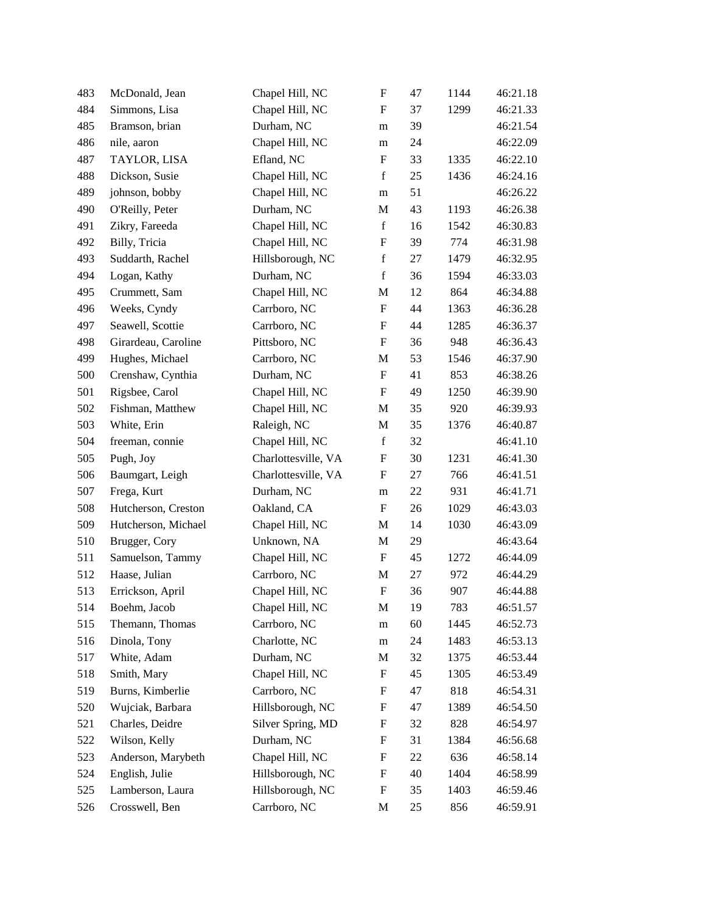| 483 | McDonald, Jean      | Chapel Hill, NC     | $\boldsymbol{\mathrm{F}}$ | 47     | 1144 | 46:21.18 |
|-----|---------------------|---------------------|---------------------------|--------|------|----------|
| 484 | Simmons, Lisa       | Chapel Hill, NC     | F                         | 37     | 1299 | 46:21.33 |
| 485 | Bramson, brian      | Durham, NC          | m                         | 39     |      | 46:21.54 |
| 486 | nile, aaron         | Chapel Hill, NC     | ${\rm m}$                 | 24     |      | 46:22.09 |
| 487 | TAYLOR, LISA        | Efland, NC          | F                         | 33     | 1335 | 46:22.10 |
| 488 | Dickson, Susie      | Chapel Hill, NC     | $\mathbf f$               | 25     | 1436 | 46:24.16 |
| 489 | johnson, bobby      | Chapel Hill, NC     | m                         | 51     |      | 46:26.22 |
| 490 | O'Reilly, Peter     | Durham, NC          | M                         | 43     | 1193 | 46:26.38 |
| 491 | Zikry, Fareeda      | Chapel Hill, NC     | $\mathbf f$               | 16     | 1542 | 46:30.83 |
| 492 | Billy, Tricia       | Chapel Hill, NC     | ${\bf F}$                 | 39     | 774  | 46:31.98 |
| 493 | Suddarth, Rachel    | Hillsborough, NC    | $\mathbf f$               | 27     | 1479 | 46:32.95 |
| 494 | Logan, Kathy        | Durham, NC          | $\mathbf f$               | 36     | 1594 | 46:33.03 |
| 495 | Crummett, Sam       | Chapel Hill, NC     | M                         | 12     | 864  | 46:34.88 |
| 496 | Weeks, Cyndy        | Carrboro, NC        | F                         | 44     | 1363 | 46:36.28 |
| 497 | Seawell, Scottie    | Carrboro, NC        | $\boldsymbol{\mathrm{F}}$ | 44     | 1285 | 46:36.37 |
| 498 | Girardeau, Caroline | Pittsboro, NC       | F                         | 36     | 948  | 46:36.43 |
| 499 | Hughes, Michael     | Carrboro, NC        | M                         | 53     | 1546 | 46:37.90 |
| 500 | Crenshaw, Cynthia   | Durham, NC          | $\boldsymbol{\mathrm{F}}$ | 41     | 853  | 46:38.26 |
| 501 | Rigsbee, Carol      | Chapel Hill, NC     | F                         | 49     | 1250 | 46:39.90 |
| 502 | Fishman, Matthew    | Chapel Hill, NC     | M                         | 35     | 920  | 46:39.93 |
| 503 | White, Erin         | Raleigh, NC         | M                         | 35     | 1376 | 46:40.87 |
| 504 | freeman, connie     | Chapel Hill, NC     | $\mathbf f$               | 32     |      | 46:41.10 |
| 505 | Pugh, Joy           | Charlottesville, VA | F                         | 30     | 1231 | 46:41.30 |
| 506 | Baumgart, Leigh     | Charlottesville, VA | F                         | 27     | 766  | 46:41.51 |
| 507 | Frega, Kurt         | Durham, NC          | ${\rm m}$                 | $22\,$ | 931  | 46:41.71 |
| 508 | Hutcherson, Creston | Oakland, CA         | F                         | 26     | 1029 | 46:43.03 |
| 509 | Hutcherson, Michael | Chapel Hill, NC     | M                         | 14     | 1030 | 46:43.09 |
| 510 | Brugger, Cory       | Unknown, NA         | M                         | 29     |      | 46:43.64 |
| 511 | Samuelson, Tammy    | Chapel Hill, NC     | F                         | 45     | 1272 | 46:44.09 |
| 512 | Haase, Julian       | Carrboro, NC        | M                         | 27     | 972  | 46:44.29 |
| 513 | Errickson, April    | Chapel Hill, NC     | $\boldsymbol{\mathrm{F}}$ | 36     | 907  | 46:44.88 |
| 514 | Boehm, Jacob        | Chapel Hill, NC     | M                         | 19     | 783  | 46:51.57 |
| 515 | Themann, Thomas     | Carrboro, NC        | m                         | 60     | 1445 | 46:52.73 |
| 516 | Dinola, Tony        | Charlotte, NC       | ${\bf m}$                 | 24     | 1483 | 46:53.13 |
| 517 | White, Adam         | Durham, NC          | M                         | 32     | 1375 | 46:53.44 |
| 518 | Smith, Mary         | Chapel Hill, NC     | $\boldsymbol{\mathrm{F}}$ | 45     | 1305 | 46:53.49 |
| 519 | Burns, Kimberlie    | Carrboro, NC        | F                         | 47     | 818  | 46:54.31 |
| 520 | Wujciak, Barbara    | Hillsborough, NC    | F                         | 47     | 1389 | 46:54.50 |
| 521 | Charles, Deidre     | Silver Spring, MD   | $\boldsymbol{\mathrm{F}}$ | 32     | 828  | 46:54.97 |
| 522 | Wilson, Kelly       | Durham, NC          | $\boldsymbol{\mathrm{F}}$ | 31     | 1384 | 46:56.68 |
| 523 | Anderson, Marybeth  | Chapel Hill, NC     | F                         | 22     | 636  | 46:58.14 |
| 524 | English, Julie      | Hillsborough, NC    | $\boldsymbol{\mathrm{F}}$ | 40     | 1404 | 46:58.99 |
| 525 | Lamberson, Laura    | Hillsborough, NC    | F                         | 35     | 1403 | 46:59.46 |
| 526 | Crosswell, Ben      | Carrboro, NC        | M                         | 25     | 856  | 46:59.91 |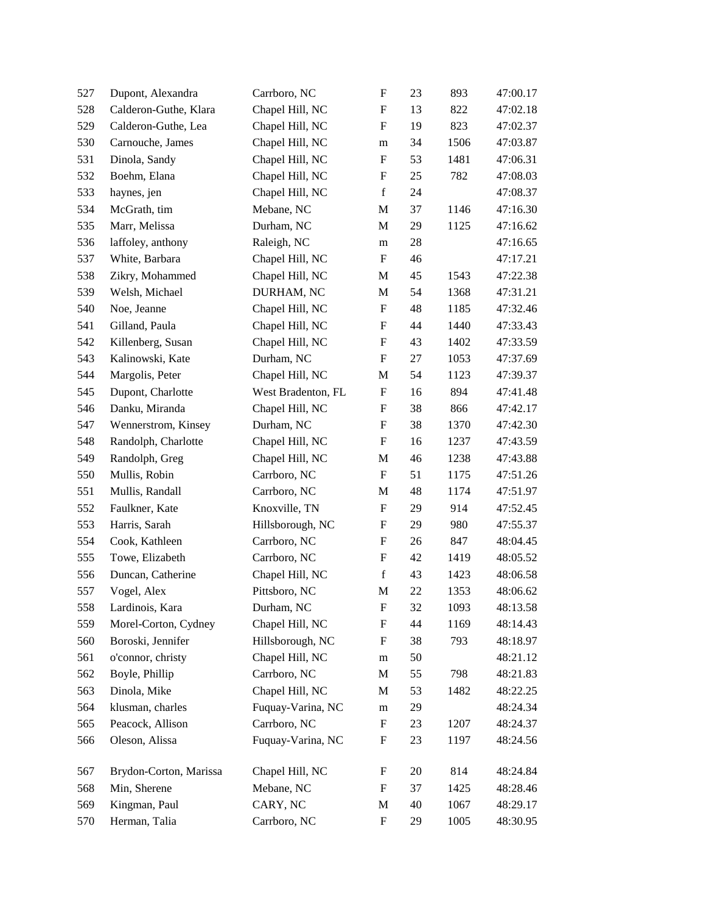| 527 | Dupont, Alexandra      | Carrboro, NC       | $\boldsymbol{\mathrm{F}}$ | 23 | 893  | 47:00.17 |
|-----|------------------------|--------------------|---------------------------|----|------|----------|
| 528 | Calderon-Guthe, Klara  | Chapel Hill, NC    | $\boldsymbol{\mathrm{F}}$ | 13 | 822  | 47:02.18 |
| 529 | Calderon-Guthe, Lea    | Chapel Hill, NC    | $\boldsymbol{\mathrm{F}}$ | 19 | 823  | 47:02.37 |
| 530 | Carnouche, James       | Chapel Hill, NC    | ${\rm m}$                 | 34 | 1506 | 47:03.87 |
| 531 | Dinola, Sandy          | Chapel Hill, NC    | $\boldsymbol{\mathrm{F}}$ | 53 | 1481 | 47:06.31 |
| 532 | Boehm, Elana           | Chapel Hill, NC    | $\boldsymbol{\mathrm{F}}$ | 25 | 782  | 47:08.03 |
| 533 | haynes, jen            | Chapel Hill, NC    | $\mathbf f$               | 24 |      | 47:08.37 |
| 534 | McGrath, tim           | Mebane, NC         | M                         | 37 | 1146 | 47:16.30 |
| 535 | Marr, Melissa          | Durham, NC         | M                         | 29 | 1125 | 47:16.62 |
| 536 | laffoley, anthony      | Raleigh, NC        | ${\bf m}$                 | 28 |      | 47:16.65 |
| 537 | White, Barbara         | Chapel Hill, NC    | $\boldsymbol{\mathrm{F}}$ | 46 |      | 47:17.21 |
| 538 | Zikry, Mohammed        | Chapel Hill, NC    | M                         | 45 | 1543 | 47:22.38 |
| 539 | Welsh, Michael         | DURHAM, NC         | M                         | 54 | 1368 | 47:31.21 |
| 540 | Noe, Jeanne            | Chapel Hill, NC    | $\boldsymbol{\mathrm{F}}$ | 48 | 1185 | 47:32.46 |
| 541 | Gilland, Paula         | Chapel Hill, NC    | $\boldsymbol{\mathrm{F}}$ | 44 | 1440 | 47:33.43 |
| 542 | Killenberg, Susan      | Chapel Hill, NC    | $\boldsymbol{\mathrm{F}}$ | 43 | 1402 | 47:33.59 |
| 543 | Kalinowski, Kate       | Durham, NC         | F                         | 27 | 1053 | 47:37.69 |
| 544 | Margolis, Peter        | Chapel Hill, NC    | M                         | 54 | 1123 | 47:39.37 |
| 545 | Dupont, Charlotte      | West Bradenton, FL | F                         | 16 | 894  | 47:41.48 |
| 546 | Danku, Miranda         | Chapel Hill, NC    | $\boldsymbol{\mathrm{F}}$ | 38 | 866  | 47:42.17 |
| 547 | Wennerstrom, Kinsey    | Durham, NC         | $\boldsymbol{\mathrm{F}}$ | 38 | 1370 | 47:42.30 |
| 548 | Randolph, Charlotte    | Chapel Hill, NC    | F                         | 16 | 1237 | 47:43.59 |
| 549 | Randolph, Greg         | Chapel Hill, NC    | M                         | 46 | 1238 | 47:43.88 |
| 550 | Mullis, Robin          | Carrboro, NC       | $\mathbf F$               | 51 | 1175 | 47:51.26 |
| 551 | Mullis, Randall        | Carrboro, NC       | M                         | 48 | 1174 | 47:51.97 |
| 552 | Faulkner, Kate         | Knoxville, TN      | $\boldsymbol{\mathrm{F}}$ | 29 | 914  | 47:52.45 |
| 553 | Harris, Sarah          | Hillsborough, NC   | F                         | 29 | 980  | 47:55.37 |
| 554 | Cook, Kathleen         | Carrboro, NC       | F                         | 26 | 847  | 48:04.45 |
| 555 | Towe, Elizabeth        | Carrboro, NC       | $\boldsymbol{\mathrm{F}}$ | 42 | 1419 | 48:05.52 |
| 556 | Duncan, Catherine      | Chapel Hill, NC    | $\mathbf f$               | 43 | 1423 | 48:06.58 |
| 557 | Vogel, Alex            | Pittsboro, NC      | $\mathbf M$               | 22 | 1353 | 48:06.62 |
| 558 | Lardinois, Kara        | Durham, NC         | F                         | 32 | 1093 | 48:13.58 |
| 559 | Morel-Corton, Cydney   | Chapel Hill, NC    | F                         | 44 | 1169 | 48:14.43 |
| 560 | Boroski, Jennifer      | Hillsborough, NC   | $\boldsymbol{\mathrm{F}}$ | 38 | 793  | 48:18.97 |
| 561 | o'connor, christy      | Chapel Hill, NC    | ${\rm m}$                 | 50 |      | 48:21.12 |
| 562 | Boyle, Phillip         | Carrboro, NC       | M                         | 55 | 798  | 48:21.83 |
| 563 | Dinola, Mike           | Chapel Hill, NC    | M                         | 53 | 1482 | 48:22.25 |
| 564 | klusman, charles       | Fuquay-Varina, NC  | ${\rm m}$                 | 29 |      | 48:24.34 |
| 565 | Peacock, Allison       | Carrboro, NC       | ${\bf F}$                 | 23 | 1207 | 48:24.37 |
| 566 | Oleson, Alissa         | Fuquay-Varina, NC  | ${\bf F}$                 | 23 | 1197 | 48:24.56 |
| 567 | Brydon-Corton, Marissa | Chapel Hill, NC    | ${\bf F}$                 | 20 | 814  | 48:24.84 |
| 568 | Min, Sherene           | Mebane, NC         | ${\rm F}$                 | 37 | 1425 | 48:28.46 |
| 569 | Kingman, Paul          | CARY, NC           | M                         | 40 | 1067 | 48:29.17 |
| 570 | Herman, Talia          | Carrboro, NC       | F                         | 29 | 1005 | 48:30.95 |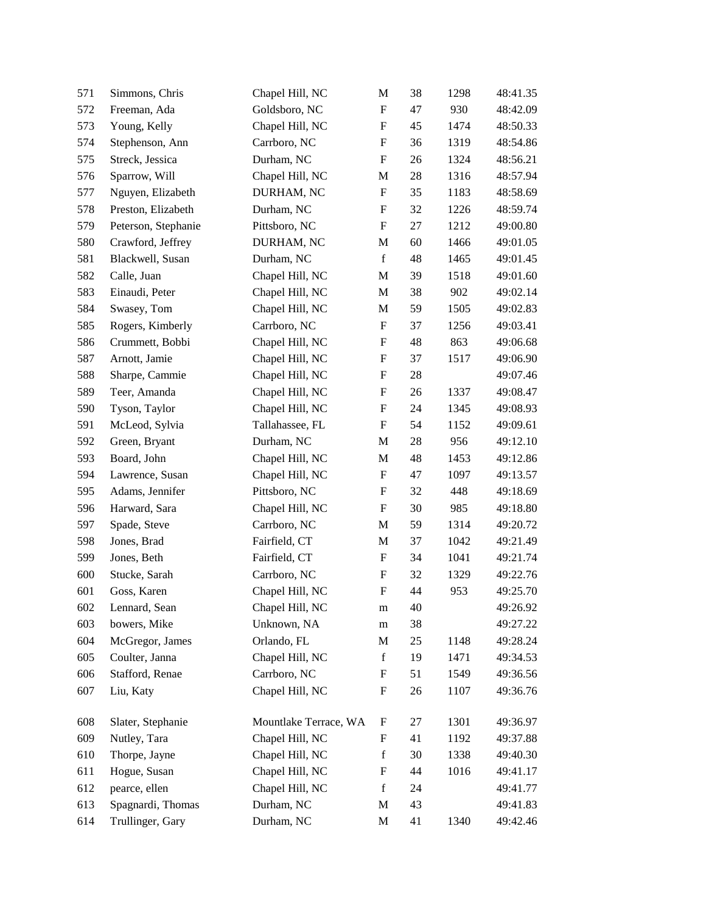| 571 | Simmons, Chris      | Chapel Hill, NC       | M                         | 38     | 1298 | 48:41.35 |
|-----|---------------------|-----------------------|---------------------------|--------|------|----------|
| 572 | Freeman, Ada        | Goldsboro, NC         | ${\rm F}$                 | 47     | 930  | 48:42.09 |
| 573 | Young, Kelly        | Chapel Hill, NC       | ${\rm F}$                 | 45     | 1474 | 48:50.33 |
| 574 | Stephenson, Ann     | Carrboro, NC          | ${\rm F}$                 | 36     | 1319 | 48:54.86 |
| 575 | Streck, Jessica     | Durham, NC            | ${\rm F}$                 | 26     | 1324 | 48:56.21 |
| 576 | Sparrow, Will       | Chapel Hill, NC       | M                         | $28\,$ | 1316 | 48:57.94 |
| 577 | Nguyen, Elizabeth   | DURHAM, NC            | F                         | 35     | 1183 | 48:58.69 |
| 578 | Preston, Elizabeth  | Durham, NC            | ${\rm F}$                 | 32     | 1226 | 48:59.74 |
| 579 | Peterson, Stephanie | Pittsboro, NC         | ${\rm F}$                 | 27     | 1212 | 49:00.80 |
| 580 | Crawford, Jeffrey   | DURHAM, NC            | M                         | 60     | 1466 | 49:01.05 |
| 581 | Blackwell, Susan    | Durham, NC            | $\mathbf f$               | 48     | 1465 | 49:01.45 |
| 582 | Calle, Juan         | Chapel Hill, NC       | M                         | 39     | 1518 | 49:01.60 |
| 583 | Einaudi, Peter      | Chapel Hill, NC       | $\mathbf M$               | 38     | 902  | 49:02.14 |
| 584 | Swasey, Tom         | Chapel Hill, NC       | M                         | 59     | 1505 | 49:02.83 |
| 585 | Rogers, Kimberly    | Carrboro, NC          | $\boldsymbol{\mathrm{F}}$ | 37     | 1256 | 49:03.41 |
| 586 | Crummett, Bobbi     | Chapel Hill, NC       | ${\rm F}$                 | 48     | 863  | 49:06.68 |
| 587 | Arnott, Jamie       | Chapel Hill, NC       | F                         | 37     | 1517 | 49:06.90 |
| 588 | Sharpe, Cammie      | Chapel Hill, NC       | ${\rm F}$                 | 28     |      | 49:07.46 |
| 589 | Teer, Amanda        | Chapel Hill, NC       | ${\rm F}$                 | 26     | 1337 | 49:08.47 |
| 590 | Tyson, Taylor       | Chapel Hill, NC       | ${\rm F}$                 | 24     | 1345 | 49:08.93 |
| 591 | McLeod, Sylvia      | Tallahassee, FL       | ${\rm F}$                 | 54     | 1152 | 49:09.61 |
| 592 | Green, Bryant       | Durham, NC            | M                         | 28     | 956  | 49:12.10 |
| 593 | Board, John         | Chapel Hill, NC       | $\mathbf M$               | 48     | 1453 | 49:12.86 |
| 594 | Lawrence, Susan     | Chapel Hill, NC       | ${\rm F}$                 | 47     | 1097 | 49:13.57 |
| 595 | Adams, Jennifer     | Pittsboro, NC         | $\boldsymbol{\mathrm{F}}$ | 32     | 448  | 49:18.69 |
| 596 | Harward, Sara       | Chapel Hill, NC       | ${\rm F}$                 | 30     | 985  | 49:18.80 |
| 597 | Spade, Steve        | Carrboro, NC          | M                         | 59     | 1314 | 49:20.72 |
| 598 | Jones, Brad         | Fairfield, CT         | $\mathbf M$               | 37     | 1042 | 49:21.49 |
| 599 | Jones, Beth         | Fairfield, CT         | ${\bf F}$                 | 34     | 1041 | 49:21.74 |
| 600 | Stucke, Sarah       | Carrboro, NC          | $\boldsymbol{\mathrm{F}}$ | 32     | 1329 | 49:22.76 |
| 601 | Goss, Karen         | Chapel Hill, NC       | ${\rm F}$                 | 44     | 953  | 49:25.70 |
| 602 | Lennard, Sean       | Chapel Hill, NC       | ${\rm m}$                 | 40     |      | 49:26.92 |
| 603 | bowers, Mike        | Unknown, NA           | m                         | 38     |      | 49:27.22 |
| 604 | McGregor, James     | Orlando, FL           | M                         | 25     | 1148 | 49:28.24 |
| 605 | Coulter, Janna      | Chapel Hill, NC       | $\mathbf f$               | 19     | 1471 | 49:34.53 |
| 606 | Stafford, Renae     | Carrboro, NC          | ${\rm F}$                 | 51     | 1549 | 49:36.56 |
| 607 | Liu, Katy           | Chapel Hill, NC       | ${\rm F}$                 | 26     | 1107 | 49:36.76 |
| 608 | Slater, Stephanie   | Mountlake Terrace, WA | F                         | 27     | 1301 | 49:36.97 |
| 609 | Nutley, Tara        | Chapel Hill, NC       | ${\rm F}$                 | 41     | 1192 | 49:37.88 |
| 610 | Thorpe, Jayne       | Chapel Hill, NC       | $\mathbf f$               | 30     | 1338 | 49:40.30 |
| 611 | Hogue, Susan        | Chapel Hill, NC       | ${\rm F}$                 | 44     | 1016 | 49:41.17 |
| 612 | pearce, ellen       | Chapel Hill, NC       | $\mathbf f$               | 24     |      | 49:41.77 |
| 613 | Spagnardi, Thomas   | Durham, NC            | M                         | 43     |      | 49:41.83 |
| 614 | Trullinger, Gary    | Durham, NC            | M                         | 41     | 1340 | 49:42.46 |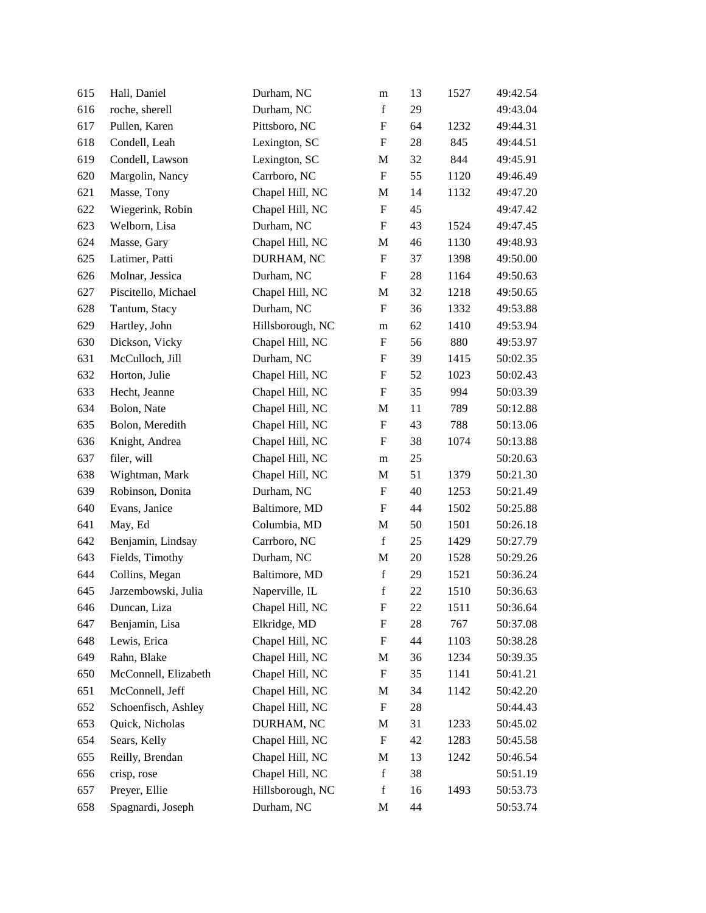| 615 | Hall, Daniel         | Durham, NC       | m                         | 13     | 1527 | 49:42.54 |
|-----|----------------------|------------------|---------------------------|--------|------|----------|
| 616 | roche, sherell       | Durham, NC       | $\mathbf f$               | 29     |      | 49:43.04 |
| 617 | Pullen, Karen        | Pittsboro, NC    | ${\rm F}$                 | 64     | 1232 | 49:44.31 |
| 618 | Condell, Leah        | Lexington, SC    | ${\rm F}$                 | 28     | 845  | 49:44.51 |
| 619 | Condell, Lawson      | Lexington, SC    | M                         | 32     | 844  | 49:45.91 |
| 620 | Margolin, Nancy      | Carrboro, NC     | ${\rm F}$                 | 55     | 1120 | 49:46.49 |
| 621 | Masse, Tony          | Chapel Hill, NC  | M                         | 14     | 1132 | 49:47.20 |
| 622 | Wiegerink, Robin     | Chapel Hill, NC  | ${\rm F}$                 | 45     |      | 49:47.42 |
| 623 | Welborn, Lisa        | Durham, NC       | ${\rm F}$                 | 43     | 1524 | 49:47.45 |
| 624 | Masse, Gary          | Chapel Hill, NC  | M                         | 46     | 1130 | 49:48.93 |
| 625 | Latimer, Patti       | DURHAM, NC       | ${\rm F}$                 | 37     | 1398 | 49:50.00 |
| 626 | Molnar, Jessica      | Durham, NC       | F                         | 28     | 1164 | 49:50.63 |
| 627 | Piscitello, Michael  | Chapel Hill, NC  | M                         | 32     | 1218 | 49:50.65 |
| 628 | Tantum, Stacy        | Durham, NC       | ${\bf F}$                 | 36     | 1332 | 49:53.88 |
| 629 | Hartley, John        | Hillsborough, NC | ${\rm m}$                 | 62     | 1410 | 49:53.94 |
| 630 | Dickson, Vicky       | Chapel Hill, NC  | ${\rm F}$                 | 56     | 880  | 49:53.97 |
| 631 | McCulloch, Jill      | Durham, NC       | F                         | 39     | 1415 | 50:02.35 |
| 632 | Horton, Julie        | Chapel Hill, NC  | ${\rm F}$                 | 52     | 1023 | 50:02.43 |
| 633 | Hecht, Jeanne        | Chapel Hill, NC  | ${\rm F}$                 | 35     | 994  | 50:03.39 |
| 634 | Bolon, Nate          | Chapel Hill, NC  | M                         | 11     | 789  | 50:12.88 |
| 635 | Bolon, Meredith      | Chapel Hill, NC  | ${\rm F}$                 | 43     | 788  | 50:13.06 |
| 636 | Knight, Andrea       | Chapel Hill, NC  | F                         | 38     | 1074 | 50:13.88 |
| 637 | filer, will          | Chapel Hill, NC  | m                         | 25     |      | 50:20.63 |
| 638 | Wightman, Mark       | Chapel Hill, NC  | M                         | 51     | 1379 | 50:21.30 |
| 639 | Robinson, Donita     | Durham, NC       | ${\bf F}$                 | 40     | 1253 | 50:21.49 |
| 640 | Evans, Janice        | Baltimore, MD    | F                         | 44     | 1502 | 50:25.88 |
| 641 | May, Ed              | Columbia, MD     | M                         | 50     | 1501 | 50:26.18 |
| 642 | Benjamin, Lindsay    | Carrboro, NC     | $\mathbf f$               | 25     | 1429 | 50:27.79 |
| 643 | Fields, Timothy      | Durham, NC       | M                         | 20     | 1528 | 50:29.26 |
| 644 | Collins, Megan       | Baltimore, MD    | $\mathbf f$               | 29     | 1521 | 50:36.24 |
| 645 | Jarzembowski, Julia  | Naperville, IL   | $\mathbf f$               | $22\,$ | 1510 | 50:36.63 |
| 646 | Duncan, Liza         | Chapel Hill, NC  | F                         | 22     | 1511 | 50:36.64 |
| 647 | Benjamin, Lisa       | Elkridge, MD     | $\boldsymbol{\mathrm{F}}$ | 28     | 767  | 50:37.08 |
| 648 | Lewis, Erica         | Chapel Hill, NC  | ${\rm F}$                 | 44     | 1103 | 50:38.28 |
| 649 | Rahn, Blake          | Chapel Hill, NC  | M                         | 36     | 1234 | 50:39.35 |
| 650 | McConnell, Elizabeth | Chapel Hill, NC  | $\boldsymbol{\mathrm{F}}$ | 35     | 1141 | 50:41.21 |
| 651 | McConnell, Jeff      | Chapel Hill, NC  | M                         | 34     | 1142 | 50:42.20 |
| 652 | Schoenfisch, Ashley  | Chapel Hill, NC  | ${\rm F}$                 | 28     |      | 50:44.43 |
| 653 | Quick, Nicholas      | DURHAM, NC       | M                         | 31     | 1233 | 50:45.02 |
| 654 | Sears, Kelly         | Chapel Hill, NC  | F                         | 42     | 1283 | 50:45.58 |
| 655 | Reilly, Brendan      | Chapel Hill, NC  | M                         | 13     | 1242 | 50:46.54 |
| 656 | crisp, rose          | Chapel Hill, NC  | $\mathbf f$               | 38     |      | 50:51.19 |
| 657 | Preyer, Ellie        | Hillsborough, NC | $\mathbf f$               | 16     | 1493 | 50:53.73 |
| 658 | Spagnardi, Joseph    | Durham, NC       | M                         | 44     |      | 50:53.74 |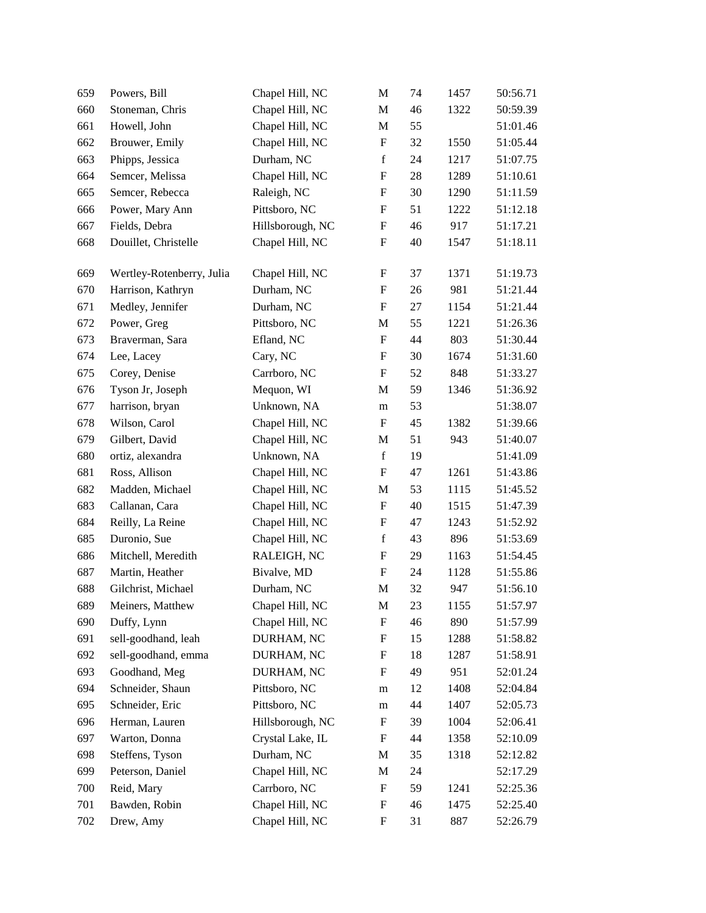| 659 | Powers, Bill              | Chapel Hill, NC  | $\mathbf M$               | 74 | 1457 | 50:56.71 |
|-----|---------------------------|------------------|---------------------------|----|------|----------|
| 660 | Stoneman, Chris           | Chapel Hill, NC  | M                         | 46 | 1322 | 50:59.39 |
| 661 | Howell, John              | Chapel Hill, NC  | $\mathbf M$               | 55 |      | 51:01.46 |
| 662 | Brouwer, Emily            | Chapel Hill, NC  | $\boldsymbol{\mathrm{F}}$ | 32 | 1550 | 51:05.44 |
| 663 | Phipps, Jessica           | Durham, NC       | $\mathbf f$               | 24 | 1217 | 51:07.75 |
| 664 | Semcer, Melissa           | Chapel Hill, NC  | $\boldsymbol{\mathrm{F}}$ | 28 | 1289 | 51:10.61 |
| 665 | Semcer, Rebecca           | Raleigh, NC      | F                         | 30 | 1290 | 51:11.59 |
| 666 | Power, Mary Ann           | Pittsboro, NC    | $\boldsymbol{\mathrm{F}}$ | 51 | 1222 | 51:12.18 |
| 667 | Fields, Debra             | Hillsborough, NC | $\boldsymbol{\mathrm{F}}$ | 46 | 917  | 51:17.21 |
| 668 | Douillet, Christelle      | Chapel Hill, NC  | $\boldsymbol{\mathrm{F}}$ | 40 | 1547 | 51:18.11 |
| 669 | Wertley-Rotenberry, Julia | Chapel Hill, NC  | F                         | 37 | 1371 | 51:19.73 |
| 670 | Harrison, Kathryn         | Durham, NC       | F                         | 26 | 981  | 51:21.44 |
| 671 | Medley, Jennifer          | Durham, NC       | $\boldsymbol{\mathrm{F}}$ | 27 | 1154 | 51:21.44 |
| 672 | Power, Greg               | Pittsboro, NC    | $\mathbf{M}$              | 55 | 1221 | 51:26.36 |
| 673 | Braverman, Sara           | Efland, NC       | $\boldsymbol{\mathrm{F}}$ | 44 | 803  | 51:30.44 |
| 674 | Lee, Lacey                | Cary, NC         | $\boldsymbol{\mathrm{F}}$ | 30 | 1674 | 51:31.60 |
| 675 | Corey, Denise             | Carrboro, NC     | F                         | 52 | 848  | 51:33.27 |
| 676 | Tyson Jr, Joseph          | Mequon, WI       | $\mathbf{M}$              | 59 | 1346 | 51:36.92 |
| 677 | harrison, bryan           | Unknown, NA      | m                         | 53 |      | 51:38.07 |
| 678 | Wilson, Carol             | Chapel Hill, NC  | F                         | 45 | 1382 | 51:39.66 |
| 679 | Gilbert, David            | Chapel Hill, NC  | $\mathbf{M}$              | 51 | 943  | 51:40.07 |
| 680 | ortiz, alexandra          | Unknown, NA      | $\mathbf f$               | 19 |      | 51:41.09 |
| 681 | Ross, Allison             | Chapel Hill, NC  | $\boldsymbol{\mathrm{F}}$ | 47 | 1261 | 51:43.86 |
| 682 | Madden, Michael           | Chapel Hill, NC  | $\mathbf{M}$              | 53 | 1115 | 51:45.52 |
| 683 | Callanan, Cara            | Chapel Hill, NC  | F                         | 40 | 1515 | 51:47.39 |
| 684 | Reilly, La Reine          | Chapel Hill, NC  | $\boldsymbol{\mathrm{F}}$ | 47 | 1243 | 51:52.92 |
| 685 | Duronio, Sue              | Chapel Hill, NC  | $\mathbf f$               | 43 | 896  | 51:53.69 |
| 686 | Mitchell, Meredith        | RALEIGH, NC      | $\boldsymbol{\mathrm{F}}$ | 29 | 1163 | 51:54.45 |
| 687 | Martin, Heather           | Bivalve, MD      | F                         | 24 | 1128 | 51:55.86 |
| 688 | Gilchrist, Michael        | Durham, NC       | $\mathbf M$               | 32 | 947  | 51:56.10 |
| 689 | Meiners, Matthew          | Chapel Hill, NC  | $\mathbf M$               | 23 | 1155 | 51:57.97 |
| 690 | Duffy, Lynn               | Chapel Hill, NC  | F                         | 46 | 890  | 51:57.99 |
| 691 | sell-goodhand, leah       | DURHAM, NC       | $\boldsymbol{\mathrm{F}}$ | 15 | 1288 | 51:58.82 |
| 692 | sell-goodhand, emma       | DURHAM, NC       | $\boldsymbol{\mathrm{F}}$ | 18 | 1287 | 51:58.91 |
| 693 | Goodhand, Meg             | DURHAM, NC       | F                         | 49 | 951  | 52:01.24 |
| 694 | Schneider, Shaun          | Pittsboro, NC    | m                         | 12 | 1408 | 52:04.84 |
| 695 | Schneider, Eric           | Pittsboro, NC    | ${\bf m}$                 | 44 | 1407 | 52:05.73 |
| 696 | Herman, Lauren            | Hillsborough, NC | F                         | 39 | 1004 | 52:06.41 |
| 697 | Warton, Donna             | Crystal Lake, IL | $\boldsymbol{\mathrm{F}}$ | 44 | 1358 | 52:10.09 |
| 698 | Steffens, Tyson           | Durham, NC       | $\mathbf{M}$              | 35 | 1318 | 52:12.82 |
| 699 | Peterson, Daniel          | Chapel Hill, NC  | M                         | 24 |      | 52:17.29 |
| 700 | Reid, Mary                | Carrboro, NC     | $\boldsymbol{\mathrm{F}}$ | 59 | 1241 | 52:25.36 |
| 701 | Bawden, Robin             | Chapel Hill, NC  | $\boldsymbol{\mathrm{F}}$ | 46 | 1475 | 52:25.40 |
| 702 | Drew, Amy                 | Chapel Hill, NC  | $\boldsymbol{\mathrm{F}}$ | 31 | 887  | 52:26.79 |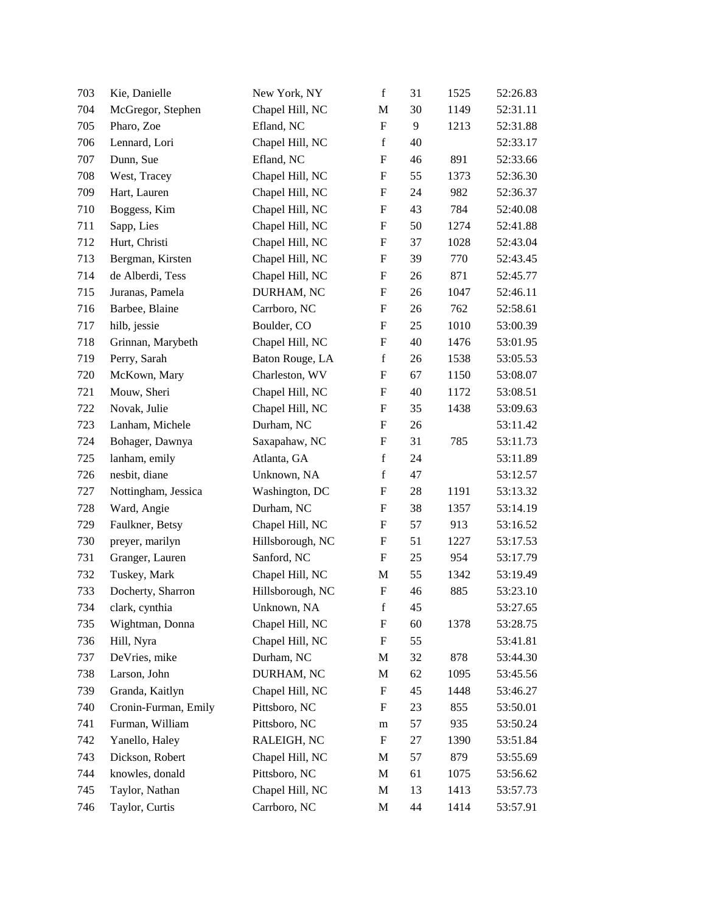| 703 | Kie, Danielle        | New York, NY     | $\mathbf f$               | 31 | 1525 | 52:26.83 |
|-----|----------------------|------------------|---------------------------|----|------|----------|
| 704 | McGregor, Stephen    | Chapel Hill, NC  | M                         | 30 | 1149 | 52:31.11 |
| 705 | Pharo, Zoe           | Efland, NC       | $\mathbf F$               | 9  | 1213 | 52:31.88 |
| 706 | Lennard, Lori        | Chapel Hill, NC  | $\mathbf f$               | 40 |      | 52:33.17 |
| 707 | Dunn, Sue            | Efland, NC       | $\boldsymbol{\mathrm{F}}$ | 46 | 891  | 52:33.66 |
| 708 | West, Tracey         | Chapel Hill, NC  | $\boldsymbol{\mathrm{F}}$ | 55 | 1373 | 52:36.30 |
| 709 | Hart, Lauren         | Chapel Hill, NC  | F                         | 24 | 982  | 52:36.37 |
| 710 | Boggess, Kim         | Chapel Hill, NC  | $\boldsymbol{\mathrm{F}}$ | 43 | 784  | 52:40.08 |
| 711 | Sapp, Lies           | Chapel Hill, NC  | F                         | 50 | 1274 | 52:41.88 |
| 712 | Hurt, Christi        | Chapel Hill, NC  | $\boldsymbol{\mathrm{F}}$ | 37 | 1028 | 52:43.04 |
| 713 | Bergman, Kirsten     | Chapel Hill, NC  | $\boldsymbol{\mathrm{F}}$ | 39 | 770  | 52:43.45 |
| 714 | de Alberdi, Tess     | Chapel Hill, NC  | F                         | 26 | 871  | 52:45.77 |
| 715 | Juranas, Pamela      | DURHAM, NC       | $\boldsymbol{\mathrm{F}}$ | 26 | 1047 | 52:46.11 |
| 716 | Barbee, Blaine       | Carrboro, NC     | $\boldsymbol{\mathrm{F}}$ | 26 | 762  | 52:58.61 |
| 717 | hilb, jessie         | Boulder, CO      | F                         | 25 | 1010 | 53:00.39 |
| 718 | Grinnan, Marybeth    | Chapel Hill, NC  | $\boldsymbol{\mathrm{F}}$ | 40 | 1476 | 53:01.95 |
| 719 | Perry, Sarah         | Baton Rouge, LA  | $\mathbf f$               | 26 | 1538 | 53:05.53 |
| 720 | McKown, Mary         | Charleston, WV   | $\boldsymbol{\mathrm{F}}$ | 67 | 1150 | 53:08.07 |
| 721 | Mouw, Sheri          | Chapel Hill, NC  | $\boldsymbol{\mathrm{F}}$ | 40 | 1172 | 53:08.51 |
| 722 | Novak, Julie         | Chapel Hill, NC  | F                         | 35 | 1438 | 53:09.63 |
| 723 | Lanham, Michele      | Durham, NC       | $\boldsymbol{\mathrm{F}}$ | 26 |      | 53:11.42 |
| 724 | Bohager, Dawnya      | Saxapahaw, NC    | F                         | 31 | 785  | 53:11.73 |
| 725 | lanham, emily        | Atlanta, GA      | $\mathbf f$               | 24 |      | 53:11.89 |
| 726 | nesbit, diane        | Unknown, NA      | $\mathbf f$               | 47 |      | 53:12.57 |
| 727 | Nottingham, Jessica  | Washington, DC   | ${\bf F}$                 | 28 | 1191 | 53:13.32 |
| 728 | Ward, Angie          | Durham, NC       | $\boldsymbol{\mathrm{F}}$ | 38 | 1357 | 53:14.19 |
| 729 | Faulkner, Betsy      | Chapel Hill, NC  | F                         | 57 | 913  | 53:16.52 |
| 730 | preyer, marilyn      | Hillsborough, NC | $\boldsymbol{\mathrm{F}}$ | 51 | 1227 | 53:17.53 |
| 731 | Granger, Lauren      | Sanford, NC      | $\boldsymbol{\mathrm{F}}$ | 25 | 954  | 53:17.79 |
| 732 | Tuskey, Mark         | Chapel Hill, NC  | M                         | 55 | 1342 | 53:19.49 |
| 733 | Docherty, Sharron    | Hillsborough, NC | $\boldsymbol{\mathrm{F}}$ | 46 | 885  | 53:23.10 |
| 734 | clark, cynthia       | Unknown, NA      | f                         | 45 |      | 53:27.65 |
| 735 | Wightman, Donna      | Chapel Hill, NC  | $\boldsymbol{\mathrm{F}}$ | 60 | 1378 | 53:28.75 |
| 736 | Hill, Nyra           | Chapel Hill, NC  | F                         | 55 |      | 53:41.81 |
| 737 | DeVries, mike        | Durham, NC       | M                         | 32 | 878  | 53:44.30 |
| 738 | Larson, John         | DURHAM, NC       | M                         | 62 | 1095 | 53:45.56 |
| 739 | Granda, Kaitlyn      | Chapel Hill, NC  | ${\bf F}$                 | 45 | 1448 | 53:46.27 |
| 740 | Cronin-Furman, Emily | Pittsboro, NC    | $\boldsymbol{\mathrm{F}}$ | 23 | 855  | 53:50.01 |
| 741 | Furman, William      | Pittsboro, NC    | m                         | 57 | 935  | 53:50.24 |
| 742 | Yanello, Haley       | RALEIGH, NC      | F                         | 27 | 1390 | 53:51.84 |
| 743 | Dickson, Robert      | Chapel Hill, NC  | М                         | 57 | 879  | 53:55.69 |
| 744 | knowles, donald      | Pittsboro, NC    | M                         | 61 | 1075 | 53:56.62 |
| 745 | Taylor, Nathan       | Chapel Hill, NC  | M                         | 13 | 1413 | 53:57.73 |
| 746 | Taylor, Curtis       | Carrboro, NC     | M                         | 44 | 1414 | 53:57.91 |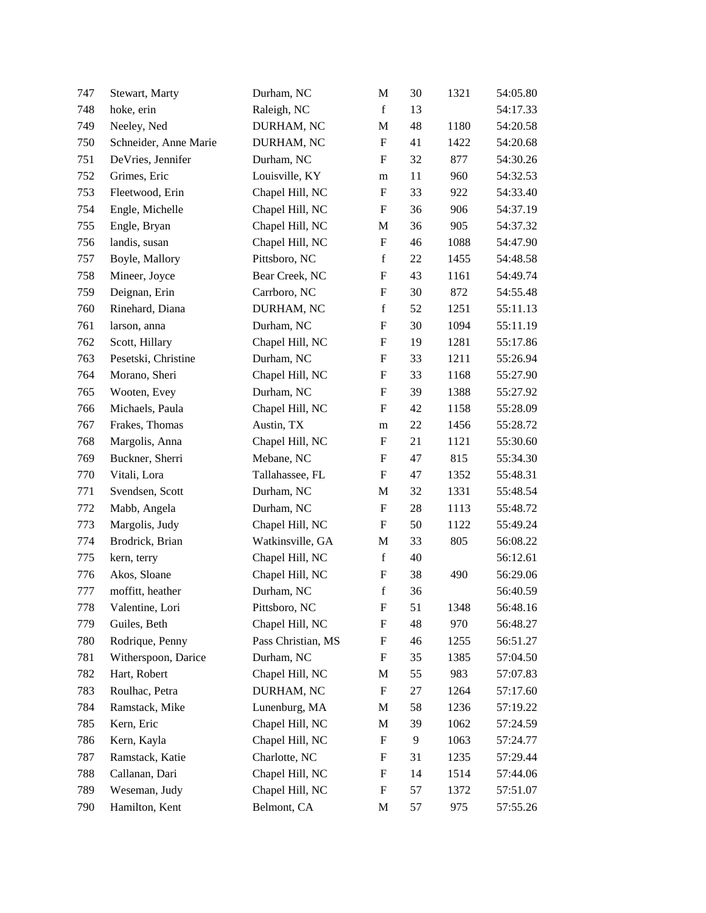| 747 | Stewart, Marty        | Durham, NC         | M                         | 30 | 1321 | 54:05.80 |
|-----|-----------------------|--------------------|---------------------------|----|------|----------|
| 748 | hoke, erin            | Raleigh, NC        | $\mathbf f$               | 13 |      | 54:17.33 |
| 749 | Neeley, Ned           | DURHAM, NC         | $\mathbf M$               | 48 | 1180 | 54:20.58 |
| 750 | Schneider, Anne Marie | DURHAM, NC         | $\boldsymbol{\mathrm{F}}$ | 41 | 1422 | 54:20.68 |
| 751 | DeVries, Jennifer     | Durham, NC         | F                         | 32 | 877  | 54:30.26 |
| 752 | Grimes, Eric          | Louisville, KY     | m                         | 11 | 960  | 54:32.53 |
| 753 | Fleetwood, Erin       | Chapel Hill, NC    | $\boldsymbol{\mathrm{F}}$ | 33 | 922  | 54:33.40 |
| 754 | Engle, Michelle       | Chapel Hill, NC    | $\boldsymbol{\mathrm{F}}$ | 36 | 906  | 54:37.19 |
| 755 | Engle, Bryan          | Chapel Hill, NC    | M                         | 36 | 905  | 54:37.32 |
| 756 | landis, susan         | Chapel Hill, NC    | F                         | 46 | 1088 | 54:47.90 |
| 757 | Boyle, Mallory        | Pittsboro, NC      | $\mathbf f$               | 22 | 1455 | 54:48.58 |
| 758 | Mineer, Joyce         | Bear Creek, NC     | F                         | 43 | 1161 | 54:49.74 |
| 759 | Deignan, Erin         | Carrboro, NC       | $\boldsymbol{\mathrm{F}}$ | 30 | 872  | 54:55.48 |
| 760 | Rinehard, Diana       | DURHAM, NC         | $\mathbf f$               | 52 | 1251 | 55:11.13 |
| 761 | larson, anna          | Durham, NC         | $\boldsymbol{\mathrm{F}}$ | 30 | 1094 | 55:11.19 |
| 762 | Scott, Hillary        | Chapel Hill, NC    | $\boldsymbol{\mathrm{F}}$ | 19 | 1281 | 55:17.86 |
| 763 | Pesetski, Christine   | Durham, NC         | F                         | 33 | 1211 | 55:26.94 |
| 764 | Morano, Sheri         | Chapel Hill, NC    | $\boldsymbol{\mathrm{F}}$ | 33 | 1168 | 55:27.90 |
| 765 | Wooten, Evey          | Durham, NC         | $\boldsymbol{\mathrm{F}}$ | 39 | 1388 | 55:27.92 |
| 766 | Michaels, Paula       | Chapel Hill, NC    | F                         | 42 | 1158 | 55:28.09 |
| 767 | Frakes, Thomas        | Austin, TX         | ${\bf m}$                 | 22 | 1456 | 55:28.72 |
| 768 | Margolis, Anna        | Chapel Hill, NC    | F                         | 21 | 1121 | 55:30.60 |
| 769 | Buckner, Sherri       | Mebane, NC         | $\boldsymbol{\mathrm{F}}$ | 47 | 815  | 55:34.30 |
| 770 | Vitali, Lora          | Tallahassee, FL    | F                         | 47 | 1352 | 55:48.31 |
| 771 | Svendsen, Scott       | Durham, NC         | M                         | 32 | 1331 | 55:48.54 |
| 772 | Mabb, Angela          | Durham, NC         | $\boldsymbol{\mathrm{F}}$ | 28 | 1113 | 55:48.72 |
| 773 | Margolis, Judy        | Chapel Hill, NC    | F                         | 50 | 1122 | 55:49.24 |
| 774 | Brodrick, Brian       | Watkinsville, GA   | M                         | 33 | 805  | 56:08.22 |
| 775 | kern, terry           | Chapel Hill, NC    | $\mathbf f$               | 40 |      | 56:12.61 |
| 776 | Akos, Sloane          | Chapel Hill, NC    | $\boldsymbol{\mathrm{F}}$ | 38 | 490  | 56:29.06 |
| 777 | moffitt, heather      | Durham, NC         | $\mathbf f$               | 36 |      | 56:40.59 |
| 778 | Valentine, Lori       | Pittsboro, NC      | F                         | 51 | 1348 | 56:48.16 |
| 779 | Guiles, Beth          | Chapel Hill, NC    | F                         | 48 | 970  | 56:48.27 |
| 780 | Rodrique, Penny       | Pass Christian, MS | $\boldsymbol{\mathrm{F}}$ | 46 | 1255 | 56:51.27 |
| 781 | Witherspoon, Darice   | Durham, NC         | $\boldsymbol{\mathrm{F}}$ | 35 | 1385 | 57:04.50 |
| 782 | Hart, Robert          | Chapel Hill, NC    | M                         | 55 | 983  | 57:07.83 |
| 783 | Roulhac, Petra        | DURHAM, NC         | F                         | 27 | 1264 | 57:17.60 |
| 784 | Ramstack, Mike        | Lunenburg, MA      | $\mathbf{M}$              | 58 | 1236 | 57:19.22 |
| 785 | Kern, Eric            | Chapel Hill, NC    | M                         | 39 | 1062 | 57:24.59 |
| 786 | Kern, Kayla           | Chapel Hill, NC    | F                         | 9  | 1063 | 57:24.77 |
| 787 | Ramstack, Katie       | Charlotte, NC      | ${\bf F}$                 | 31 | 1235 | 57:29.44 |
| 788 | Callanan, Dari        | Chapel Hill, NC    | ${\bf F}$                 | 14 | 1514 | 57:44.06 |
| 789 | Weseman, Judy         | Chapel Hill, NC    | ${\bf F}$                 | 57 | 1372 | 57:51.07 |
| 790 | Hamilton, Kent        | Belmont, CA        | M                         | 57 | 975  | 57:55.26 |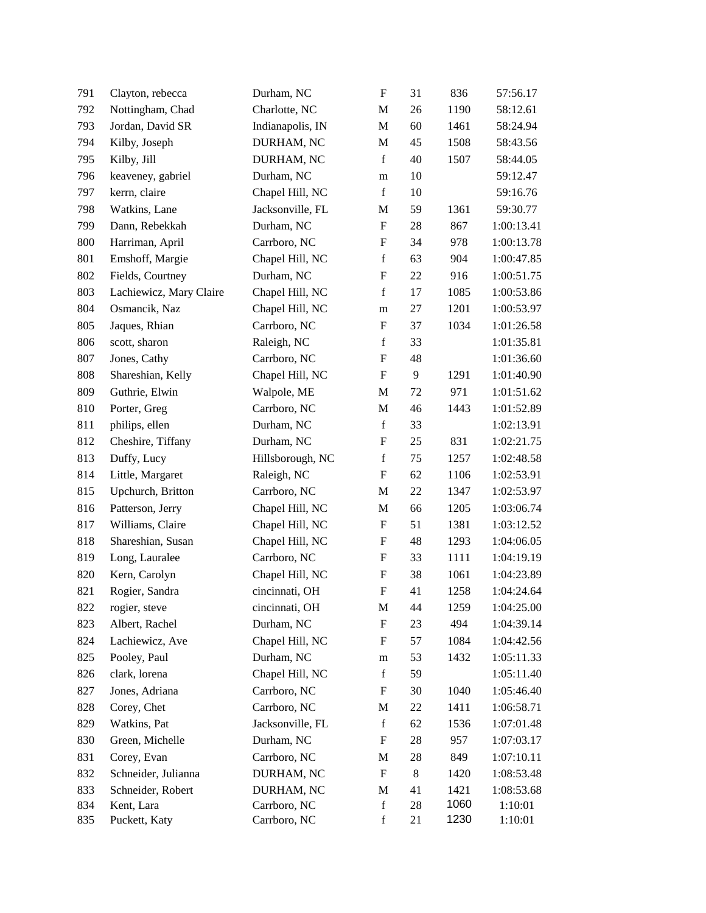| 791 | Clayton, rebecca        | Durham, NC       | $\boldsymbol{\mathrm{F}}$ | 31 | 836  | 57:56.17   |
|-----|-------------------------|------------------|---------------------------|----|------|------------|
| 792 | Nottingham, Chad        | Charlotte, NC    | M                         | 26 | 1190 | 58:12.61   |
| 793 | Jordan, David SR        | Indianapolis, IN | M                         | 60 | 1461 | 58:24.94   |
| 794 | Kilby, Joseph           | DURHAM, NC       | M                         | 45 | 1508 | 58:43.56   |
| 795 | Kilby, Jill             | DURHAM, NC       | $\mathbf f$               | 40 | 1507 | 58:44.05   |
| 796 | keaveney, gabriel       | Durham, NC       | m                         | 10 |      | 59:12.47   |
| 797 | kerrn, claire           | Chapel Hill, NC  | $\mathbf f$               | 10 |      | 59:16.76   |
| 798 | Watkins, Lane           | Jacksonville, FL | M                         | 59 | 1361 | 59:30.77   |
| 799 | Dann, Rebekkah          | Durham, NC       | $\boldsymbol{\mathrm{F}}$ | 28 | 867  | 1:00:13.41 |
| 800 | Harriman, April         | Carrboro, NC     | $\boldsymbol{\mathrm{F}}$ | 34 | 978  | 1:00:13.78 |
| 801 | Emshoff, Margie         | Chapel Hill, NC  | $\mathbf f$               | 63 | 904  | 1:00:47.85 |
| 802 | Fields, Courtney        | Durham, NC       | F                         | 22 | 916  | 1:00:51.75 |
| 803 | Lachiewicz, Mary Claire | Chapel Hill, NC  | $\mathbf f$               | 17 | 1085 | 1:00:53.86 |
| 804 | Osmancik, Naz           | Chapel Hill, NC  | m                         | 27 | 1201 | 1:00:53.97 |
| 805 | Jaques, Rhian           | Carrboro, NC     | F                         | 37 | 1034 | 1:01:26.58 |
| 806 | scott, sharon           | Raleigh, NC      | $\mathbf f$               | 33 |      | 1:01:35.81 |
| 807 | Jones, Cathy            | Carrboro, NC     | $\mathbf F$               | 48 |      | 1:01:36.60 |
| 808 | Shareshian, Kelly       | Chapel Hill, NC  | $\mathbf F$               | 9  | 1291 | 1:01:40.90 |
| 809 | Guthrie, Elwin          | Walpole, ME      | M                         | 72 | 971  | 1:01:51.62 |
| 810 | Porter, Greg            | Carrboro, NC     | M                         | 46 | 1443 | 1:01:52.89 |
| 811 | philips, ellen          | Durham, NC       | $\mathbf f$               | 33 |      | 1:02:13.91 |
| 812 | Cheshire, Tiffany       | Durham, NC       | $\mathbf F$               | 25 | 831  | 1:02:21.75 |
| 813 | Duffy, Lucy             | Hillsborough, NC | $\mathbf f$               | 75 | 1257 | 1:02:48.58 |
| 814 | Little, Margaret        | Raleigh, NC      | $\boldsymbol{\mathrm{F}}$ | 62 | 1106 | 1:02:53.91 |
| 815 | Upchurch, Britton       | Carrboro, NC     | M                         | 22 | 1347 | 1:02:53.97 |
| 816 | Patterson, Jerry        | Chapel Hill, NC  | $\mathbf M$               | 66 | 1205 | 1:03:06.74 |
| 817 | Williams, Claire        | Chapel Hill, NC  | F                         | 51 | 1381 | 1:03:12.52 |
| 818 | Shareshian, Susan       | Chapel Hill, NC  | F                         | 48 | 1293 | 1:04:06.05 |
| 819 | Long, Lauralee          | Carrboro, NC     | $\boldsymbol{\mathrm{F}}$ | 33 | 1111 | 1:04:19.19 |
| 820 | Kern, Carolyn           | Chapel Hill, NC  | $\boldsymbol{\mathrm{F}}$ | 38 | 1061 | 1:04:23.89 |
| 821 | Rogier, Sandra          | cincinnati, OH   | ${\bf F}$                 | 41 | 1258 | 1:04:24.64 |
| 822 | rogier, steve           | cincinnati, OH   | М                         | 44 | 1259 | 1:04:25.00 |
| 823 | Albert, Rachel          | Durham, NC       | F                         | 23 | 494  | 1:04:39.14 |
| 824 | Lachiewicz, Ave         | Chapel Hill, NC  | F                         | 57 | 1084 | 1:04:42.56 |
| 825 | Pooley, Paul            | Durham, NC       | m                         | 53 | 1432 | 1:05:11.33 |
| 826 | clark, lorena           | Chapel Hill, NC  | $\mathbf f$               | 59 |      | 1:05:11.40 |
| 827 | Jones, Adriana          | Carrboro, NC     | F                         | 30 | 1040 | 1:05:46.40 |
| 828 | Corey, Chet             | Carrboro, NC     | M                         | 22 | 1411 | 1:06:58.71 |
| 829 | Watkins, Pat            | Jacksonville, FL | $\mathbf f$               | 62 | 1536 | 1:07:01.48 |
| 830 | Green, Michelle         | Durham, NC       | F                         | 28 | 957  | 1:07:03.17 |
| 831 | Corey, Evan             | Carrboro, NC     | M                         | 28 | 849  | 1:07:10.11 |
| 832 | Schneider, Julianna     | DURHAM, NC       | F                         | 8  | 1420 | 1:08:53.48 |
| 833 | Schneider, Robert       | DURHAM, NC       | M                         | 41 | 1421 | 1:08:53.68 |
| 834 | Kent, Lara              | Carrboro, NC     | $\mathbf f$               | 28 | 1060 | 1:10:01    |
| 835 | Puckett, Katy           | Carrboro, NC     | $\mathbf f$               | 21 | 1230 | 1:10:01    |